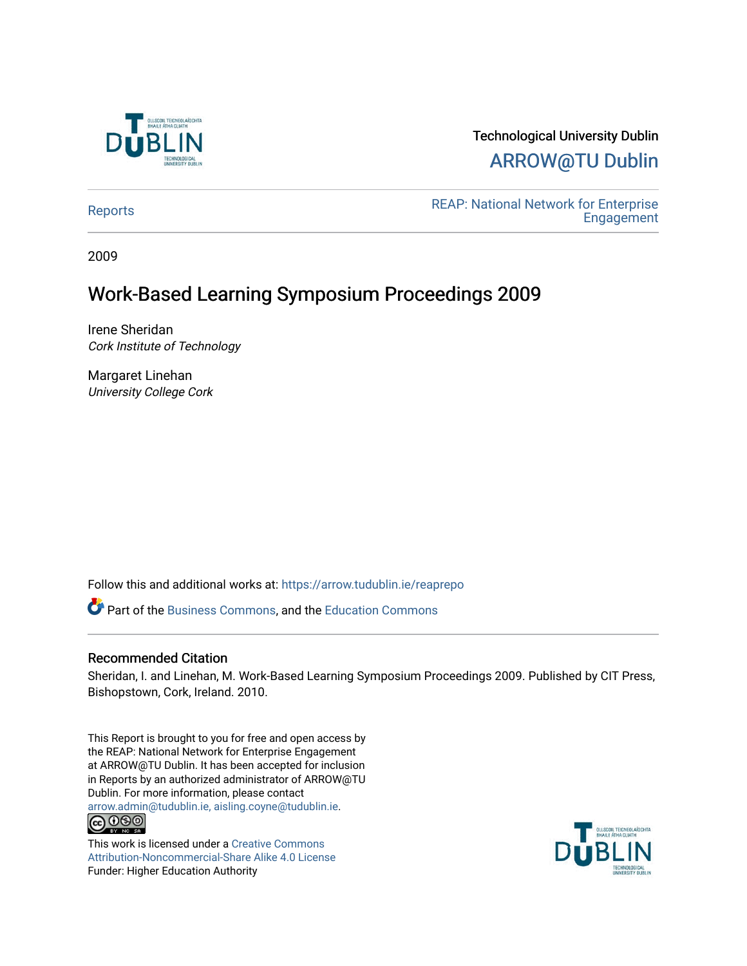

## Technological University Dublin [ARROW@TU Dublin](https://arrow.tudublin.ie/)

REAP: National Network for Enterprise<br>Fraggement **Engagement** 

2009

## Work-Based Learning Symposium Proceedings 2009

Irene Sheridan Cork Institute of Technology

Margaret Linehan University College Cork

Follow this and additional works at: [https://arrow.tudublin.ie/reaprepo](https://arrow.tudublin.ie/reaprepo?utm_source=arrow.tudublin.ie%2Freaprepo%2F11&utm_medium=PDF&utm_campaign=PDFCoverPages) 

Part of the [Business Commons](http://network.bepress.com/hgg/discipline/622?utm_source=arrow.tudublin.ie%2Freaprepo%2F11&utm_medium=PDF&utm_campaign=PDFCoverPages), and the [Education Commons](http://network.bepress.com/hgg/discipline/784?utm_source=arrow.tudublin.ie%2Freaprepo%2F11&utm_medium=PDF&utm_campaign=PDFCoverPages)

## Recommended Citation

Sheridan, I. and Linehan, M. Work-Based Learning Symposium Proceedings 2009. Published by CIT Press, Bishopstown, Cork, Ireland. 2010.

This Report is brought to you for free and open access by the REAP: National Network for Enterprise Engagement at ARROW@TU Dublin. It has been accepted for inclusion in Reports by an authorized administrator of ARROW@TU Dublin. For more information, please contact [arrow.admin@tudublin.ie, aisling.coyne@tudublin.ie](mailto:arrow.admin@tudublin.ie,%20aisling.coyne@tudublin.ie).  $\bigcirc$  000

This work is licensed under a [Creative Commons](http://creativecommons.org/licenses/by-nc-sa/4.0/) [Attribution-Noncommercial-Share Alike 4.0 License](http://creativecommons.org/licenses/by-nc-sa/4.0/) Funder: Higher Education Authority

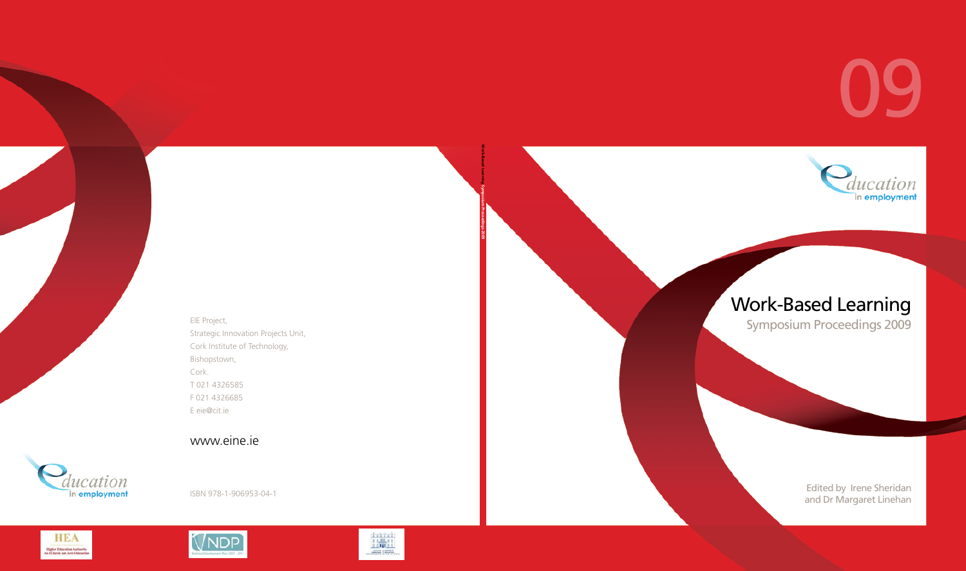EIE Project, Strategic Innovation Projects Unit, Cork Institute of Technology, Bishopstown, Cork. T 021 4326585 F 021 4326685 E eie@cit.ie

## www.eine.ie

 $\frac{ducation}{\sum_{\text{in } \text{emplogment}}}$ 

ISBN 978-1-906953-04-1

# Work-Based Learning Symposium Proceedings 2009

Edited by Irene Sheridan and Dr Margaret Linehan











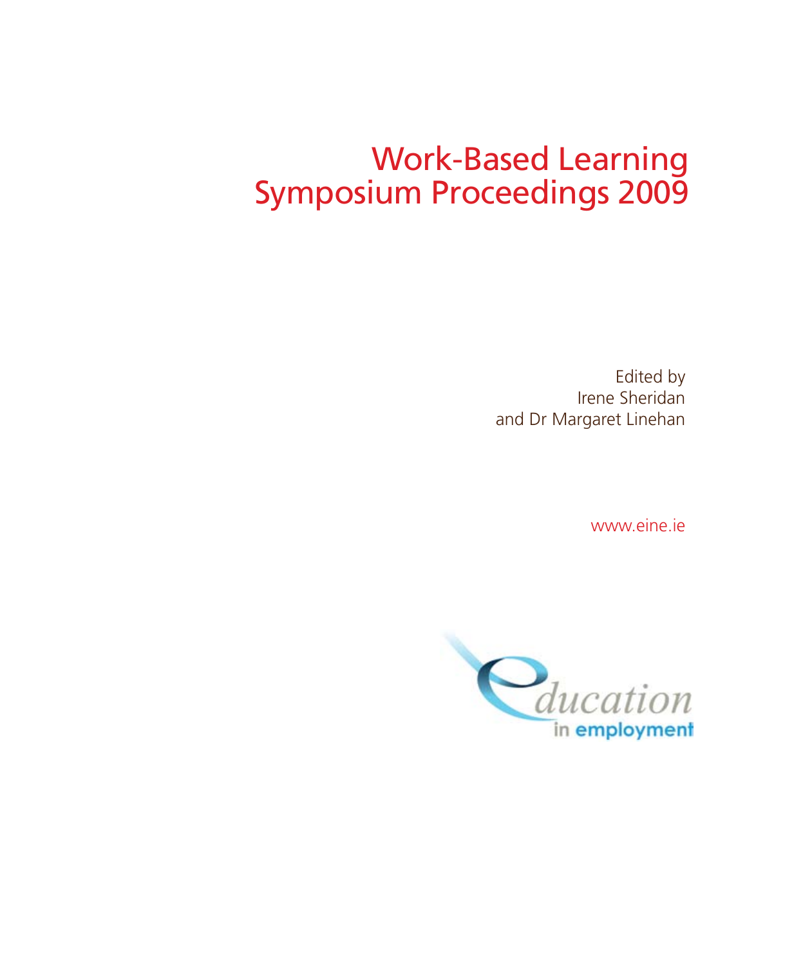# Work-Based Learning Symposium Proceedings 2009

Edited by Irene Sheridan and Dr Margaret Linehan

www.eine.ie

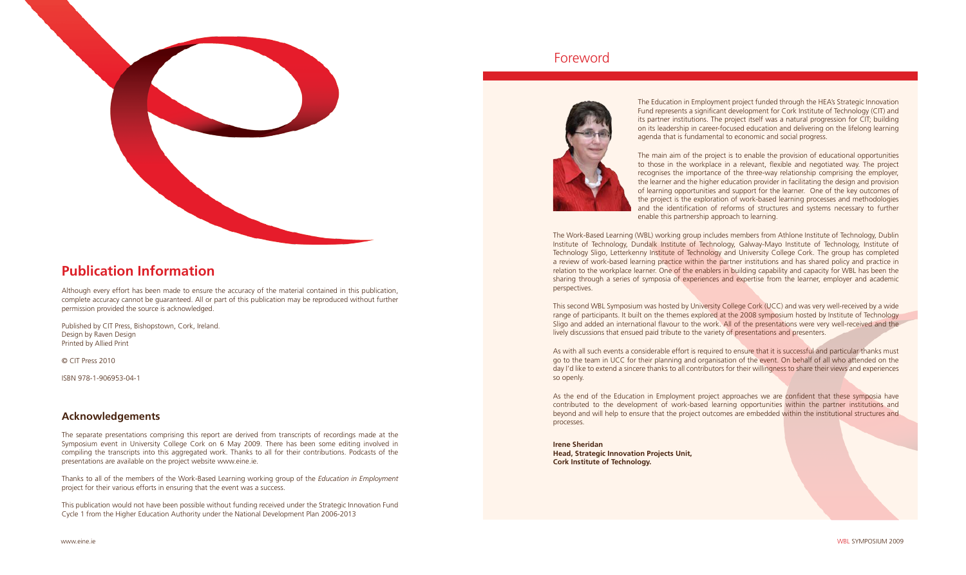The Education in Employment project funded through the HEA's Strategic Innovation Fund represents a significant development for Cork Institute of Technology (CIT) and its partner institutions. The project itself was a natural progression for CIT; building on its leadership in career-focused education and delivering on the lifelong learning agenda that is fundamental to economic and social progress.

The main aim of the project is to enable the provision of educational opportunities to those in the workplace in a relevant, flexible and negotiated way. The project recognises the importance of the three-way relationship comprising the employer, the learner and the higher education provider in facilitating the design and provision of learning opportunities and support for the learner. One of the key outcomes of the project is the exploration of work-based learning processes and methodologies and the identification of reforms of structures and systems necessary to further enable this partnership approach to learning.

The Work-Based Learning (WBL) working group includes members from Athlone Institute of Technology, Dublin Institute of Technology, Dundalk Institute of Technology, Galway-Mayo Institute of Technology, Institute of Technology Sligo, Letterkenny Institute of Technology and University College Cork. The group has completed a review of work-based learning practice within the partner institutions and has shared policy and practice in relation to the workplace learner. One of the enablers in building capability and capacity for WBL has been the sharing through a series of symposia of experiences and expertise from the learner, employer and academic perspectives.

As the end of the Education in Employment project approaches we are confident that these symposia have contributed to the development of work-based learning opportunities within the partner institutions and beyond and will help to ensure that the project outcomes are embedded within the institutional structures and processes.

This second WBL Symposium was hosted by University College Cork (UCC) and was very well-received by a wide range of participants. It built on the themes explored at the 2008 symposium hosted by Institute of Technology Sligo and added an international flavour to the work. All of the presentations were very well-received and the lively discussions that ensued paid tribute to the variety of presentations and presenters.

As with all such events a considerable effort is required to ensure that it is successful and particular thanks must go to the team in UCC for their planning and organisation of the event. On behalf of all who attended on the day I'd like to extend a sincere thanks to all contributors for their willingness to share their views and experiences so openly.

**Irene Sheridan Head, Strategic Innovation Projects Unit, Cork Institute of Technology.**



## **Publication Information**

Although every effort has been made to ensure the accuracy of the material contained in this publication, complete accuracy cannot be guaranteed. All or part of this publication may be reproduced without further permission provided the source is acknowledged.

Published by CIT Press, Bishopstown, Cork, Ireland. Design by Raven Design Printed by Allied Print

© CIT Press 2010

ISBN 978-1-906953-04-1

## **Acknowledgements**

The separate presentations comprising this report are derived from transcripts of recordings made at the Symposium event in University College Cork on 6 May 2009. There has been some editing involved in compiling the transcripts into this aggregated work. Thanks to all for their contributions. Podcasts of the presentations are available on the project website www.eine.ie.

Thanks to all of the members of the Work-Based Learning working group of the *Education in Employment*  project for their various efforts in ensuring that the event was a success.

This publication would not have been possible without funding received under the Strategic Innovation Fund Cycle 1 from the Higher Education Authority under the National Development Plan 2006-2013

## Foreword



### WBL SYMPOSIUM 2009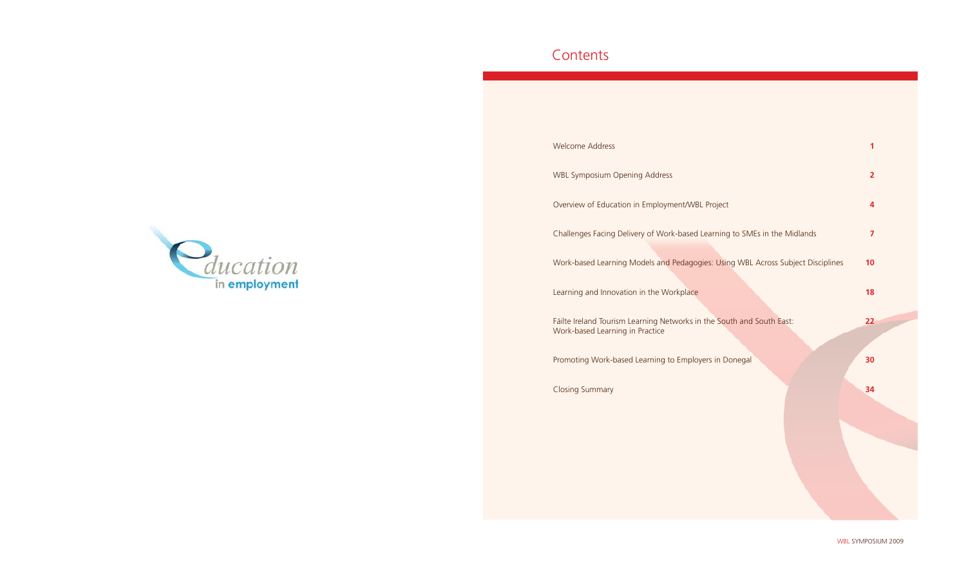## **Contents**

Overview of Education in Employment/WBL Project **4**

Challenges Facing Delivery of Work-based Learning to SMEs in the Midlands **7**



Work-based Learning in Practice



### WBL SYMPOSIUM 2009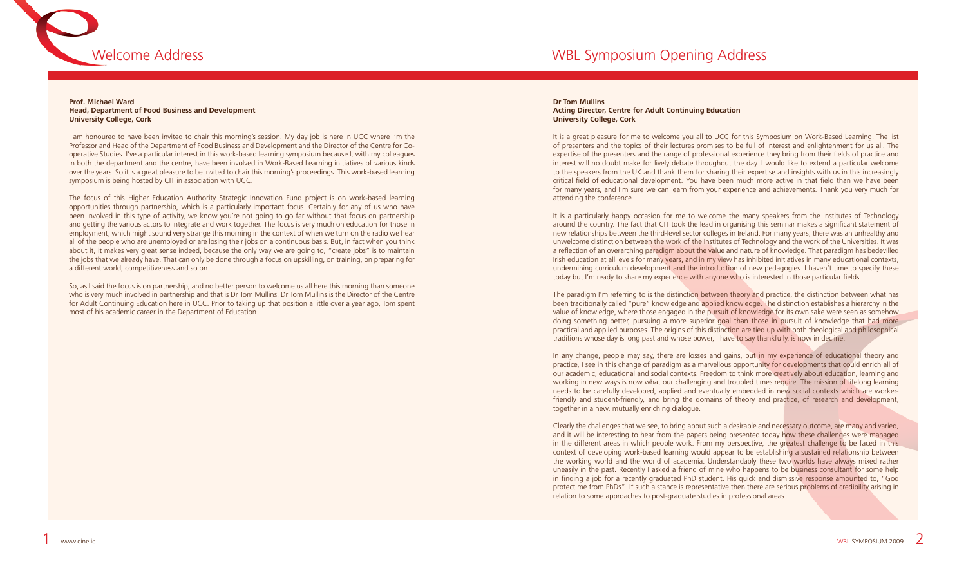## **Dr Tom Mullins Acting Director, Centre for Adult Continuing Education**

**University College, Cork** It is a great pleasure for me to welcome you all to UCC for this Symposium on Work-Based Learning. The list

of presenters and the topics of their lectures promises to be full of interest and enlightenment for us all. The expertise of the presenters and the range of professional experience they bring from their fields of practice and interest will no doubt make for lively debate throughout the day. I would like to extend a particular welcome to the speakers from the UK and thank them for sharing their expertise and insights with us in this increasingly critical field of educational development. You have been much more active in that field than we have been for many years, and I'm sure we can learn from your experience and achievements. Thank you very much for attending the conference.

It is a particularly happy occasion for me to welcome the many speakers from the Institutes of Technology around the country. The fact that CIT took the lead in organising this seminar makes a significant statement of new relationships between the third-level sector colleges in Ireland. For many years, there was an unhealthy and unwelcome distinction between the work of the Institutes of Technology and the work of the Universities. It was a reflection of an overarching paradigm about the value and nature of knowledge. That paradigm has bedevilled Irish education at all levels for many years, and in my view has inhibited initiatives in many educational contexts, undermining curriculum development and the introduction of new pedagogies. I haven't time to specify these today but I'm ready to share my experience with anyone who is interested in those particular fields.

The paradigm I'm referring to is the distinction between theory and practice, the distinction between what has been traditionally called "pure" knowledge and applied knowledge. The distinction establishes a hierarchy in the value of knowledge, where those engaged in the pursuit of knowledge for its own sake were seen as somehow doing something better, pursuing a more superior goal than those in pursuit of knowledge that had more practical and applied purposes. The origins of this distinction are tied up with both theological and philosophical traditions whose day is long past and whose power, I have to say thankfully, is now in decline.

In any change, people may say, there are losses and gains, but in my experience of educational theory and practice, I see in this change of paradigm as a marvellous opportunity for developments that could enrich all of our academic, educational and social contexts. Freedom to think more creatively about education, learning and working in new ways is now what our challenging and troubled times require. The mission of lifelong learning needs to be carefully developed, applied and eventually embedded in new social contexts which are workerfriendly and student-friendly, and bring the domains of theory and practice, of research and development, together in a new, mutually enriching dialogue.

Clearly the challenges that we see, to bring about such a desirable and necessary outcome, are many and varied, and it will be interesting to hear from the papers being presented today how these challenges were managed in the different areas in which people work. From my perspective, the greatest challenge to be faced in this context of developing work-based learning would appear to be establishing a sustained relationship between the working world and the world of academia. Understandably these two worlds have always mixed rather uneasily in the past. Recently I asked a friend of mine who happens to be business consultant for some help in finding a job for a recently graduated PhD student. His quick and dismissive response amounted to, "God protect me from PhDs". If such a stance is representative then there are serious problems of credibility arising in relation to some approaches to post-graduate studies in professional areas.



### **Prof. Michael Ward Head, Department of Food Business and Development University College, Cork**

I am honoured to have been invited to chair this morning's session. My day job is here in UCC where I'm the Professor and Head of the Department of Food Business and Development and the Director of the Centre for Cooperative Studies. I've a particular interest in this work-based learning symposium because I, with my colleagues in both the department and the centre, have been involved in Work-Based Learning initiatives of various kinds over the years. So it is a great pleasure to be invited to chair this morning's proceedings. This work-based learning symposium is being hosted by CIT in association with UCC.

The focus of this Higher Education Authority Strategic Innovation Fund project is on work-based learning opportunities through partnership, which is a particularly important focus. Certainly for any of us who have been involved in this type of activity, we know you're not going to go far without that focus on partnership and getting the various actors to integrate and work together. The focus is very much on education for those in employment, which might sound very strange this morning in the context of when we turn on the radio we hear all of the people who are unemployed or are losing their jobs on a continuous basis. But, in fact when you think about it, it makes very great sense indeed, because the only way we are going to, "create jobs" is to maintain the jobs that we already have. That can only be done through a focus on upskilling, on training, on preparing for a different world, competitiveness and so on.

So, as I said the focus is on partnership, and no better person to welcome us all here this morning than someone who is very much involved in partnership and that is Dr Tom Mullins. Dr Tom Mullins is the Director of the Centre for Adult Continuing Education here in UCC. Prior to taking up that position a little over a year ago, Tom spent most of his academic career in the Department of Education.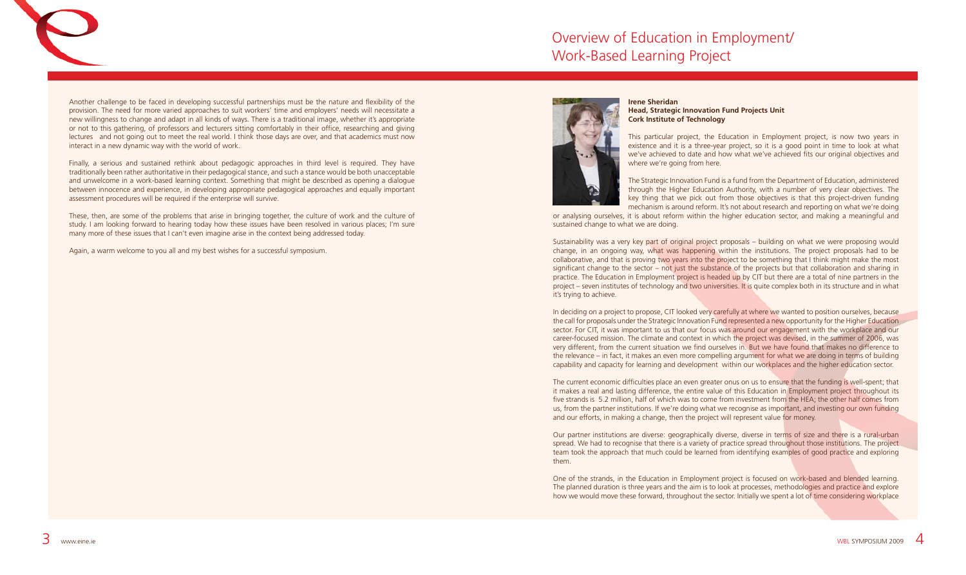

## Overview of Education in Employment/ Work-Based Learning Project

### **Irene Sheridan Head, Strategic Innovation Fund Projects Unit Cork Institute of Technology**

This particular project, the Education in Employment project, is now two years in existence and it is a three-year project, so it is a good point in time to look at what we've achieved to date and how what we've achieved fits our original objectives and where we're going from here.

The Strategic Innovation Fund is a fund from the Department of Education, administered through the Higher Education Authority, with a number of very clear objectives. The key thing that we pick out from those objectives is that this project-driven funding mechanism is around reform. It's not about research and reporting on what we're doing or analysing ourselves, it is about reform within the higher education sector, and making a meaningful and

sustained change to what we are doing.

Sustainability was a very key part of original project proposals – building on what we were proposing would change, in an ongoing way, what was happening within the institutions. The project proposals had to be collaborative, and that is proving two years into the project to be something that I think might make the most significant change to the sector – not just the substance of the projects but that collaboration and sharing in practice. The Education in Employment project is headed up by CIT but there are a total of nine partners in the project – seven institutes of technology and two universities. It is quite complex both in its structure and in what it's trying to achieve.

In deciding on a project to propose, CIT looked very carefully at where we wanted to position ourselves, because the call for proposals under the Strategic Innovation Fund represented a new opportunity for the Higher Education sector. For CIT, it was important to us that our focus was around our engagement with the workplace and our career-focused mission. The climate and context in which the project was devised, in the summer of 2006, was very different, from the current situation we find ourselves in. But we have found that makes no difference to the relevance – in fact, it makes an even more compelling argument for what we are doing in terms of building capability and capacity for learning and development within our workplaces and the higher education sector.

These, then, are some of the problems that arise in bringing together, the culture of work and the culture of study. I am looking forward to hearing today how these issues have been resolved in various places; I'm sure many more of these issues that I can't even imagine arise in the context being addressed today.

> The current economic difficulties place an even greater onus on us to ensure that the funding is well-spent; that it makes a real and lasting difference, the entire value of this Education in Employment project throughout its five strands is €5.2 million, half of which was to come from investment from the HEA; the other half comes from us, from the partner institutions. If we're doing what we recognise as important, and investing our own funding and our efforts, in making a change, then the project will represent value for money.

> Our partner institutions are diverse: geographically diverse, diverse in terms of size and there is a rural-urban spread. We had to recognise that there is a variety of practice spread throughout those institutions. The project team took the approach that much could be learned from identifying examples of good practice and exploring them.

> One of the strands, in the Education in Employment project is focused on work-based and blended learning. The planned duration is three years and the aim is to look at processes, methodologies and practice and explore how we would move these forward, throughout the sector. Initially we spent a lot of time considering workplace



Another challenge to be faced in developing successful partnerships must be the nature and flexibility of the provision. The need for more varied approaches to suit workers' time and employers' needs will necessitate a new willingness to change and adapt in all kinds of ways. There is a traditional image, whether it's appropriate or not to this gathering, of professors and lecturers sitting comfortably in their office, researching and giving lectures and not going out to meet the real world. I think those days are over, and that academics must now interact in a new dynamic way with the world of work.

Finally, a serious and sustained rethink about pedagogic approaches in third level is required. They have traditionally been rather authoritative in their pedagogical stance, and such a stance would be both unacceptable and unwelcome in a work-based learning context. Something that might be described as opening a dialogue between innocence and experience, in developing appropriate pedagogical approaches and equally important assessment procedures will be required if the enterprise will survive.

Again, a warm welcome to you all and my best wishes for a successful symposium.

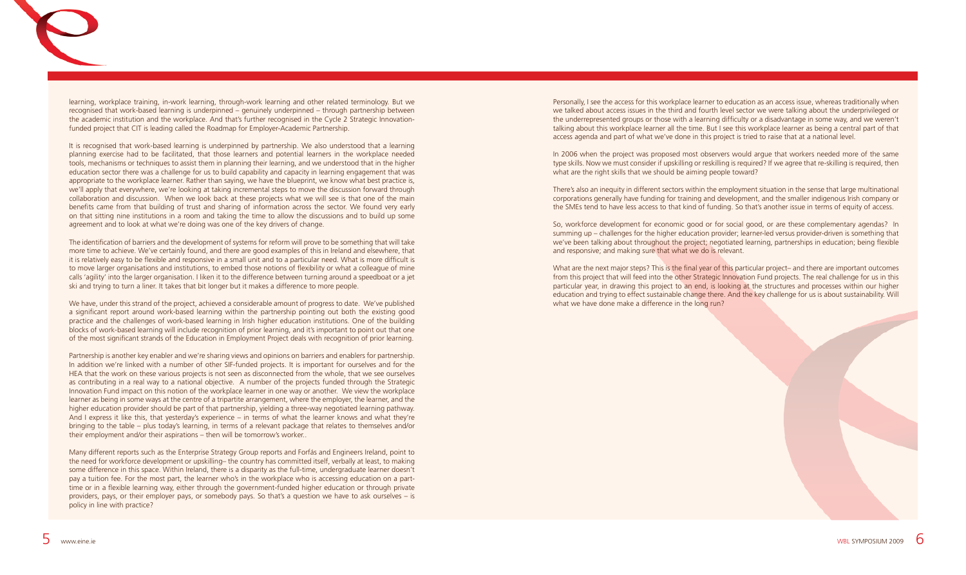Personally, I see the access for this workplace learner to education as an access issue, whereas traditionally when we talked about access issues in the third and fourth level sector we were talking about the underprivileged or the underrepresented groups or those with a learning difficulty or a disadvantage in some way, and we weren't talking about this workplace learner all the time. But I see this workplace learner as being a central part of that access agenda and part of what we've done in this project is tried to raise that at a national level.

In 2006 when the project was proposed most observers would argue that workers needed more of the same type skills. Now we must consider if upskilling or reskilling is required? If we agree that re-skilling is required, then what are the right skills that we should be aiming people toward?

There's also an inequity in different sectors within the employment situation in the sense that large multinational corporations generally have funding for training and development, and the smaller indigenous Irish company or the SMEs tend to have less access to that kind of funding. So that's another issue in terms of equity of access.

So, workforce development for economic good or for social good, or are these complementary agendas? In summing up – challenges for the higher education provider; learner-led versus provider-driven is something that we've been talking about throughout the project; negotiated learning, partnerships in education; being flexible and responsive; and making sure that what we do is relevant.

What are the next major steps? This is the final year of this particular project– and there are important outcomes from this project that will feed into the other Strategic Innovation Fund projects. The real challenge for us in this particular year, in drawing this project to an end, is looking at the structures and processes within our higher education and trying to effect sustainable change there. And the key challenge for us is about sustainability. Will what we have done make a difference in the long run?



It is recognised that work-based learning is underpinned by partnership. We also understood that a learning planning exercise had to be facilitated, that those learners and potential learners in the workplace needed tools, mechanisms or techniques to assist them in planning their learning, and we understood that in the higher education sector there was a challenge for us to build capability and capacity in learning engagement that was appropriate to the workplace learner. Rather than saying, we have the blueprint, we know what best practice is, we'll apply that everywhere, we're looking at taking incremental steps to move the discussion forward through collaboration and discussion. When we look back at these projects what we will see is that one of the main benefits came from that building of trust and sharing of information across the sector. We found very early on that sitting nine institutions in a room and taking the time to allow the discussions and to build up some agreement and to look at what we're doing was one of the key drivers of change.

The identification of barriers and the development of systems for reform will prove to be something that will take more time to achieve. We've certainly found, and there are good examples of this in Ireland and elsewhere, that it is relatively easy to be flexible and responsive in a small unit and to a particular need. What is more difficult is to move larger organisations and institutions, to embed those notions of flexibility or what a colleague of mine calls 'agility' into the larger organisation. I liken it to the difference between turning around a speedboat or a jet ski and trying to turn a liner. It takes that bit longer but it makes a difference to more people.

We have, under this strand of the project, achieved a considerable amount of progress to date. We've published a significant report around work-based learning within the partnership pointing out both the existing good practice and the challenges of work-based learning in Irish higher education institutions. One of the building blocks of work-based learning will include recognition of prior learning, and it's important to point out that one of the most significant strands of the Education in Employment Project deals with recognition of prior learning.

Partnership is another key enabler and we're sharing views and opinions on barriers and enablers for partnership. In addition we're linked with a number of other SIF-funded projects. It is important for ourselves and for the HEA that the work on these various projects is not seen as disconnected from the whole, that we see ourselves as contributing in a real way to a national objective. A number of the projects funded through the Strategic Innovation Fund impact on this notion of the workplace learner in one way or another. We view the workplace learner as being in some ways at the centre of a tripartite arrangement, where the employer, the learner, and the higher education provider should be part of that partnership, yielding a three-way negotiated learning pathway. And I express it like this, that yesterday's experience – in terms of what the learner knows and what they're bringing to the table – plus today's learning, in terms of a relevant package that relates to themselves and/or their employment and/or their aspirations – then will be tomorrow's worker..

Many different reports such as the Enterprise Strategy Group reports and Forfás and Engineers Ireland, point to the need for workforce development or upskilling– the country has committed itself, verbally at least, to making some difference in this space. Within Ireland, there is a disparity as the full-time, undergraduate learner doesn't pay a tuition fee. For the most part, the learner who's in the workplace who is accessing education on a parttime or in a flexible learning way, either through the government-funded higher education or through private providers, pays, or their employer pays, or somebody pays. So that's a question we have to ask ourselves – is policy in line with practice?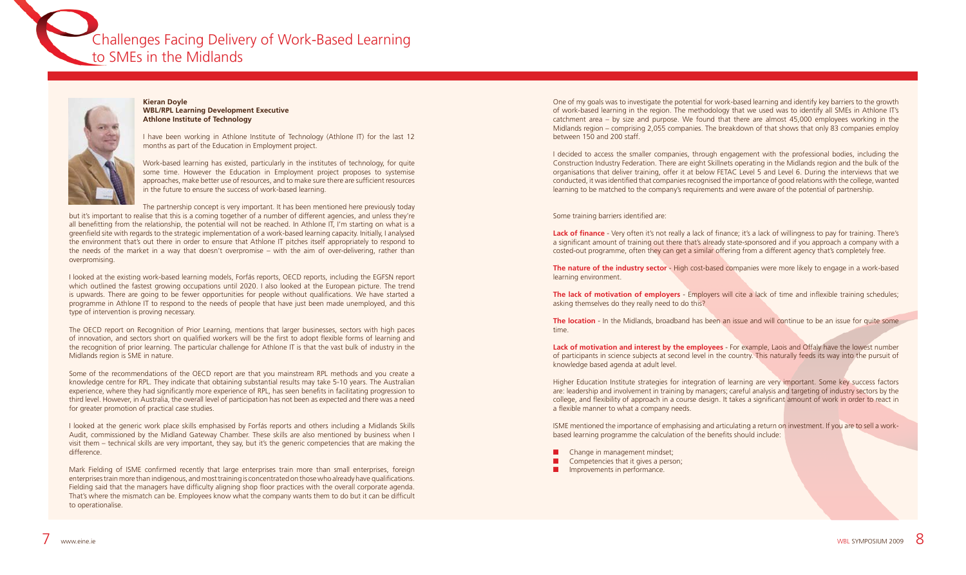



One of my goals was to investigate the potential for work-based learning and identify key barriers to the growth of work-based learning in the region. The methodology that we used was to identify all SMEs in Athlone IT's catchment area – by size and purpose. We found that there are almost 45,000 employees working in the Midlands region – comprising 2,055 companies. The breakdown of that shows that only 83 companies employ between 150 and 200 staff.

I decided to access the smaller companies, through engagement with the professional bodies, including the Construction Industry Federation. There are eight Skillnets operating in the Midlands region and the bulk of the organisations that deliver training, offer it at below FETAC Level 5 and Level 6. During the interviews that we conducted, it was identified that companies recognised the importance of good relations with the college, wanted learning to be matched to the company's requirements and were aware of the potential of partnership.

**The lack of motivation of employers** - Employers will cite a lack of time and inflexible training schedules; asking themselves do they really need to do this?

**The location** - In the Midlands, broadband has been an issue and will continue to be an issue for quite some time.

Some training barriers identified are:

**Lack of finance** - Very often it's not really a lack of finance; it's a lack of willingness to pay for training. There's a significant amount of training out there that's already state-sponsored and if you approach a company with a costed-out programme, often they can get a similar offering from a different agency that's completely free.

**The nature of the industry sector** - High cost-based companies were more likely to engage in a work-based learning environment.

## **Lack of motivation and interest by the employees** - For example, Laois and Offaly have the lowest number

of participants in science subjects at second level in the country. This naturally feeds its way into the pursuit of

knowledge based agenda at adult level.

Higher Education Institute strategies for integration of learning are very important. Some key success factors are: leadership and involvement in training by managers; careful analysis and targeting of industry sectors by the college, and flexibility of approach in a course design. It takes a significant amount of work in order to react in a flexible manner to what a company needs.

ISME mentioned the importance of emphasising and articulating a return on investment. If you are to sell a workbased learning programme the calculation of the benefits should include:

- Change in management mindset;
- Competencies that it gives a person;
- $\blacksquare$  Improvements in performance.

### **Kieran Doyle WBL/RPL Learning Development Executive Athlone Institute of Technology**

I have been working in Athlone Institute of Technology (Athlone IT) for the last 12 months as part of the Education in Employment project.

Work-based learning has existed, particularly in the institutes of technology, for quite some time. However the Education in Employment project proposes to systemise approaches, make better use of resources, and to make sure there are sufficient resources in the future to ensure the success of work-based learning.

The partnership concept is very important. It has been mentioned here previously today

but it's important to realise that this is a coming together of a number of different agencies, and unless they're all benefitting from the relationship, the potential will not be reached. In Athlone IT, I'm starting on what is a greenfield site with regards to the strategic implementation of a work-based learning capacity. Initially, I analysed the environment that's out there in order to ensure that Athlone IT pitches itself appropriately to respond to the needs of the market in a way that doesn't overpromise – with the aim of over-delivering, rather than overpromising.

I looked at the existing work-based learning models, Forfás reports, OECD reports, including the EGFSN report which outlined the fastest growing occupations until 2020. I also looked at the European picture. The trend is upwards. There are going to be fewer opportunities for people without qualifications. We have started a programme in Athlone IT to respond to the needs of people that have just been made unemployed, and this type of intervention is proving necessary.

The OECD report on Recognition of Prior Learning, mentions that larger businesses, sectors with high paces of innovation, and sectors short on qualified workers will be the first to adopt flexible forms of learning and the recognition of prior learning. The particular challenge for Athlone IT is that the vast bulk of industry in the Midlands region is SME in nature.

Some of the recommendations of the OECD report are that you mainstream RPL methods and you create a knowledge centre for RPL. They indicate that obtaining substantial results may take 5-10 years. The Australian experience, where they had significantly more experience of RPL, has seen benefits in facilitating progression to third level. However, in Australia, the overall level of participation has not been as expected and there was a need for greater promotion of practical case studies.

I looked at the generic work place skills emphasised by Forfás reports and others including a Midlands Skills Audit, commissioned by the Midland Gateway Chamber. These skills are also mentioned by business when I visit them – technical skills are very important, they say, but it's the generic competencies that are making the difference.

Mark Fielding of ISME confirmed recently that large enterprises train more than small enterprises, foreign enterprises train more than indigenous, and most training is concentrated on those who already have qualifications. Fielding said that the managers have difficulty aligning shop floor practices with the overall corporate agenda. That's where the mismatch can be. Employees know what the company wants them to do but it can be difficult to operationalise.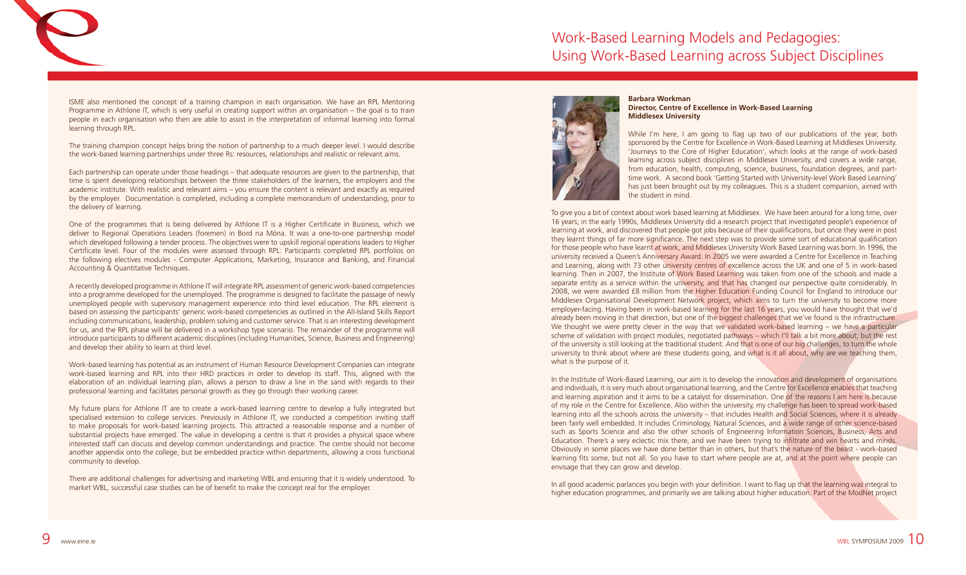### **Barbara Workman Director, Centre of Excellence in Work-Based Learning Middlesex University**

While I'm here, I am going to flag up two of our publications of the year, both sponsored by the Centre for Excellence in Work-Based Learning at Middlesex University. 'Journeys to the Core of Higher Education', which looks at the range of work-based learning across subject disciplines in Middlesex University, and covers a wide range, from education, health, computing, science, business, foundation degrees, and parttime work. A second book 'Getting Started with University-level Work Based Learning' has just been brought out by my colleagues. This is a student companion, aimed with the student in mind.

To give you a bit of context about work based learning at Middlesex. We have been around for a long time, over 16 years; in the early 1990s, Middlesex University did a research project that investigated people's experience of learning at work, and discovered that people got jobs because of their qualifications, but once they were in post they learnt things of far more significance. The next step was to provide some sort of educational qualification for those people who have learnt at work, and Middlesex University Work Based Learning was born. In 1996, the university received a Queen's Anniversary Award. In 2005 we were awarded a Centre for Excellence in Teaching and Learning, along with 73 other university centres of excellence across the UK and one of 5 in work-based learning. Then in 2007, the Institute of Work Based Learning was taken from one of the schools and made a separate entity as a service within the university, and that has changed our perspective quite considerably. In 2008, we were awarded £8 million from the Higher Education Funding Council for England to introduce our Middlesex Organisational Development Network project, which aims to turn the university to become more employer-facing. Having been in work-based learning for the last 16 years, you would have thought that we'd already been moving in that direction, but one of the biggest challenges that we've found is the infrastructure. We thought we were pretty clever in the way that we validated work-based learning – we have a particular scheme of validation with project modules, negotiated pathways – which I'll talk a bit more about; but the rest of the university is still looking at the traditional student. And that is one of our big challenges, to turn the whole university to think about where are these students going, and what is it all about, why are we teaching them, what is the purpose of it.

In the Institute of Work-Based Learning, our aim is to develop the innovation and development of organisations and individuals, it is very much about organisational learning, and the Centre for Excellence enables that teaching and learning aspiration and it aims to be a catalyst for dissemination. One of the reasons I am here is because of my role in the Centre for Excellence. Also within the university, my challenge has been to spread work-based learning into all the schools across the university – that includes Health and Social Sciences, where it is already been fairly well embedded. It includes Criminology, Natural Sciences, and a wide range of other science-based such as Sports Science and also the other schools of Engineering Information Sciences, Business, Arts and Education. There's a very eclectic mix there, and we have been trying to infiltrate and win hearts and minds. Obviously in some places we have done better than in others, but that's the nature of the beast - work-based learning fits some, but not all. So you have to start where people are at, and at the point where people can envisage that they can grow and develop.

In all good academic parlances you begin with your definition. I want to flag up that the learning was integral to higher education programmes, and primarily we are talking about higher education. Part of the ModNet project

ISME also mentioned the concept of a training champion in each organisation. We have an RPL Mentoring Programme in Athlone IT, which is very useful in creating support within an organisation – the goal is to train people in each organisation who then are able to assist in the interpretation of informal learning into formal learning through RPL.

The training champion concept helps bring the notion of partnership to a much deeper level. I would describe the work-based learning partnerships under three Rs: resources, relationships and realistic or relevant aims.

Each partnership can operate under those headings – that adequate resources are given to the partnership, that time is spent developing relationships between the three stakeholders of the learners, the employers and the academic institute. With realistic and relevant aims – you ensure the content is relevant and exactly as required by the employer. Documentation is completed, including a complete memorandum of understanding, prior to the delivery of learning.

One of the programmes that is being delivered by Athlone IT is a Higher Certificate in Business, which we deliver to Regional Operations Leaders (foremen) in Bord na Móna. It was a one-to-one partnership model which developed following a tender process. The objectives were to upskill regional operations leaders to Higher Certificate level. Four of the modules were assessed through RPL: Participants completed RPL portfolios on the following electives modules - Computer Applications, Marketing, Insurance and Banking, and Financial Accounting & Quantitative Techniques.

A recently developed programme in Athlone IT will integrate RPL assessment of generic work-based competencies into a programme developed for the unemployed. The programme is designed to facilitate the passage of newly unemployed people with supervisory management experience into third level education. The RPL element is based on assessing the participants' generic work-based competencies as outlined in the All-Island Skills Report including communications, leadership, problem solving and customer service. That is an interesting development for us, and the RPL phase will be delivered in a workshop type scenario. The remainder of the programme will introduce participants to different academic disciplines (including Humanities, Science, Business and Engineering) and develop their ability to learn at third level.

Work-based learning has potential as an instrument of Human Resource Development Companies can integrate work-based learning and RPL into their HRD practices in order to develop its staff. This, aligned with the elaboration of an individual learning plan, allows a person to draw a line in the sand with regards to their professional learning and facilitates personal growth as they go through their working career.

My future plans for Athlone IT are to create a work-based learning centre to develop a fully integrated but specialised extension to college services. Previously in Athlone IT, we conducted a competition inviting staff to make proposals for work-based learning projects. This attracted a reasonable response and a number of substantial projects have emerged. The value in developing a centre is that it provides a physical space where interested staff can discuss and develop common understandings and practice. The centre should not become another appendix onto the college, but be embedded practice within departments, allowing a cross functional community to develop.

There are additional challenges for advertising and marketing WBL and ensuring that it is widely understood. To market WBL, successful case studies can be of benefit to make the concept real for the employer.



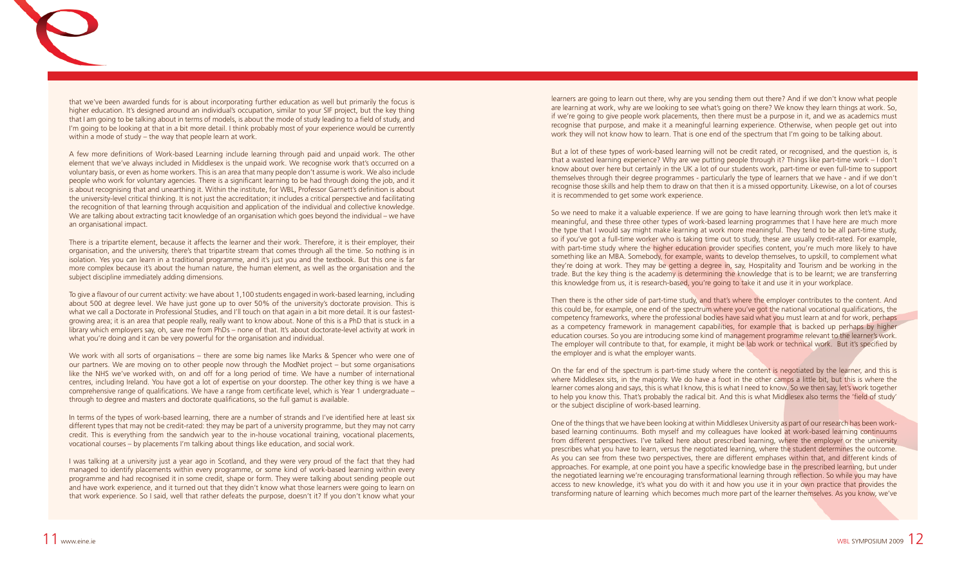learners are going to learn out there, why are you sending them out there? And if we don't know what people are learning at work, why are we looking to see what's going on there? We know they learn things at work. So, if we're going to give people work placements, then there must be a purpose in it, and we as academics must recognise that purpose, and make it a meaningful learning experience. Otherwise, when people get out into work they will not know how to learn. That is one end of the spectrum that I'm going to be talking about.

But a lot of these types of work-based learning will not be credit rated, or recognised, and the question is, is that a wasted learning experience? Why are we putting people through it? Things like part-time work – I don't know about over here but certainly in the UK a lot of our students work, part-time or even full-time to support themselves through their degree programmes - particularly the type of learners that we have - and if we don't recognise those skills and help them to draw on that then it is a missed opportunity. Likewise, on a lot of courses it is recommended to get some work experience.

So we need to make it a valuable experience. If we are going to have learning through work then let's make it meaningful, and these three other types of work-based learning programmes that I have here are much more the type that I would say might make learning at work more meaningful. They tend to be all part-time study, so if you've got a full-time worker who is taking time out to study, these are usually credit-rated. For example, with part-time study where the higher education provider specifies content, you're much more likely to have something like an MBA. Somebody, for example, wants to develop themselves, to upskill, to complement what they're doing at work. They may be getting a degree in, say, Hospitality and Tourism and be working in the trade. But the key thing is the academy is determining the knowledge that is to be learnt; we are transferring this knowledge from us, it is research-based, you're going to take it and use it in your workplace.

Then there is the other side of part-time study, and that's where the employer contributes to the content. And this could be, for example, one end of the spectrum where you've got the national vocational qualifications, the competency frameworks, where the professional bodies have said what you must learn at and for work, perhaps as a competency framework in management capabilities, for example that is backed up perhaps by higher education courses. So you are introducing some kind of management programme relevant to the learner's work. The employer will contribute to that, for example, it might be lab work or technical work. But it's specified by the employer and is what the employer wants.

On the far end of the spectrum is part-time study where the content is negotiated by the learner, and this is where Middlesex sits, in the majority. We do have a foot in the other camps a little bit, but this is where the learner comes along and says, this is what I know, this is what I need to know. So we then say, let's work together to help you know this. That's probably the radical bit. And this is what Middlesex also terms the 'field of study' or the subject discipline of work-based learning.

One of the things that we have been looking at within Middlesex University as part of our research has been workbased learning continuums. Both myself and my colleagues have looked at work-based learning continuums from different perspectives. I've talked here about prescribed learning, where the employer or the university prescribes what you have to learn, versus the negotiated learning, where the student determines the outcome. As you can see from these two perspectives, there are different emphases within that, and different kinds of approaches. For example, at one point you have a specific knowledge base in the prescribed learning, but under the negotiated learning we're encouraging transformational learning through reflection. So while you may have access to new knowledge, it's what you do with it and how you use it in your own practice that provides the transforming nature of learning which becomes much more part of the learner themselves. As you know, we've



A few more definitions of Work-based Learning include learning through paid and unpaid work. The other element that we've always included in Middlesex is the unpaid work. We recognise work that's occurred on a voluntary basis, or even as home workers. This is an area that many people don't assume is work. We also include people who work for voluntary agencies. There is a significant learning to be had through doing the job, and it is about recognising that and unearthing it. Within the institute, for WBL, Professor Garnett's definition is about the university-level critical thinking. It is not just the accreditation; it includes a critical perspective and facilitating the recognition of that learning through acquisition and application of the individual and collective knowledge. We are talking about extracting tacit knowledge of an organisation which goes beyond the individual – we have an organisational impact.

There is a tripartite element, because it affects the learner and their work. Therefore, it is their employer, their organisation, and the university, there's that tripartite stream that comes through all the time. So nothing is in isolation. Yes you can learn in a traditional programme, and it's just you and the textbook. But this one is far more complex because it's about the human nature, the human element, as well as the organisation and the subject discipline immediately adding dimensions.

To give a flavour of our current activity: we have about 1,100 students engaged in work-based learning, including about 500 at degree level. We have just gone up to over 50% of the university's doctorate provision. This is what we call a Doctorate in Professional Studies, and I'll touch on that again in a bit more detail. It is our fastestgrowing area; it is an area that people really, really want to know about. None of this is a PhD that is stuck in a library which employers say, oh, save me from PhDs – none of that. It's about doctorate-level activity at work in what you're doing and it can be very powerful for the organisation and individual.

We work with all sorts of organisations – there are some big names like Marks & Spencer who were one of our partners. We are moving on to other people now through the ModNet project – but some organisations like the NHS we've worked with, on and off for a long period of time. We have a number of international centres, including Ireland. You have got a lot of expertise on your doorstep. The other key thing is we have a comprehensive range of qualifications. We have a range from certificate level, which is Year 1 undergraduate – through to degree and masters and doctorate qualifications, so the full gamut is available.

In terms of the types of work-based learning, there are a number of strands and I've identified here at least six different types that may not be credit-rated: they may be part of a university programme, but they may not carry credit. This is everything from the sandwich year to the in-house vocational training, vocational placements, vocational courses – by placements I'm talking about things like education, and social work.

I was talking at a university just a year ago in Scotland, and they were very proud of the fact that they had managed to identify placements within every programme, or some kind of work-based learning within every programme and had recognised it in some credit, shape or form. They were talking about sending people out and have work experience, and it turned out that they didn't know what those learners were going to learn on that work experience. So I said, well that rather defeats the purpose, doesn't it? If you don't know what your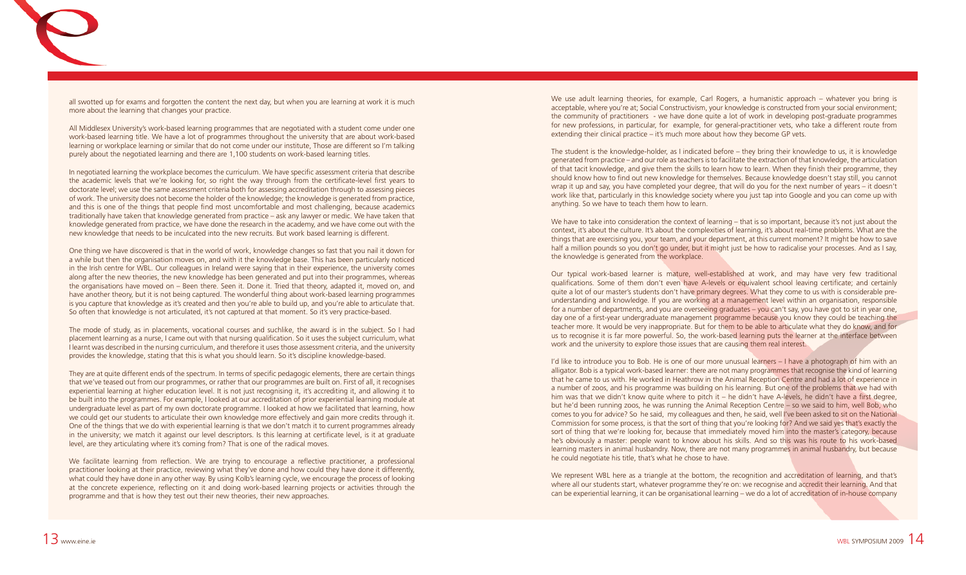We use adult learning theories, for example, Carl Rogers, a humanistic approach – whatever you bring is acceptable, where you're at; Social Constructivism, your knowledge is constructed from your social environment; the community of practitioners - we have done quite a lot of work in developing post-graduate programmes for new professions, in particular, for example, for general-practitioner vets, who take a different route from extending their clinical practice – it's much more about how they become GP vets.

We have to take into consideration the context of learning – that is so important, because it's not just about the context, it's about the culture. It's about the complexities of learning, it's about real-time problems. What are the things that are exercising you, your team, and your department, at this current moment? It might be how to save half a million pounds so you don't go under, but it might just be how to radicalise your processes. And as I say, the knowledge is generated from the workplace.

The student is the knowledge-holder, as I indicated before – they bring their knowledge to us, it is knowledge generated from practice – and our role as teachers is to facilitate the extraction of that knowledge, the articulation of that tacit knowledge, and give them the skills to learn how to learn. When they finish their programme, they should know how to find out new knowledge for themselves. Because knowledge doesn't stay still, you cannot wrap it up and say, you have completed your degree, that will do you for the next number of years – it doesn't work like that, particularly in this knowledge society where you just tap into Google and you can come up with anything. So we have to teach them how to learn.

We represent WBL here as a triangle at the bottom, the recognition and accreditation of learning, and that's where all our students start, whatever programme they're on: we recognise and accredit their learning. And that can be experiential learning, it can be organisational learning – we do a lot of accreditation of in-house company

Our typical work-based learner is mature, well-established at work, and may have very few traditional qualifications. Some of them don't even have A-levels or equivalent school leaving certificate; and certainly quite a lot of our master's students don't have primary degrees. What they come to us with is considerable preunderstanding and knowledge. If you are working at a management level within an organisation, responsible for a number of departments, and you are overseeing graduates – you can't say, you have got to sit in year one, day one of a first-year undergraduate management programme because you know they could be teaching the teacher more. It would be very inappropriate. But for them to be able to articulate what they do know, and for us to recognise it is far more powerful. So, the work-based learning puts the learner at the interface between work and the university to explore those issues that are causing them real interest.

I'd like to introduce you to Bob. He is one of our more unusual learners – I have a photograph of him with an alligator. Bob is a typical work-based learner: there are not many programmes that recognise the kind of learning that he came to us with. He worked in Heathrow in the Animal Reception Centre and had a lot of experience in a number of zoos, and his programme was building on his learning. But one of the problems that we had with him was that we didn't know quite where to pitch it – he didn't have A-levels, he didn't have a first degree, but he'd been running zoos, he was running the Animal Reception Centre – so we said to him, well Bob, who comes to you for advice? So he said, my colleagues and then, he said, well I've been asked to sit on the National Commission for some process, is that the sort of thing that you're looking for? And we said yes that's exactly the sort of thing that we're looking for, because that immediately moved him into the master's category, because he's obviously a master: people want to know about his skills. And so this was his route to his work-based learning masters in animal husbandry. Now, there are not many programmes in animal husbandry, but because he could negotiate his title, that's what he chose to have.

all swotted up for exams and forgotten the content the next day, but when you are learning at work it is much more about the learning that changes your practice.

All Middlesex University's work-based learning programmes that are negotiated with a student come under one work-based learning title. We have a lot of programmes throughout the university that are about work-based learning or workplace learning or similar that do not come under our institute, Those are different so I'm talking purely about the negotiated learning and there are 1,100 students on work-based learning titles.

In negotiated learning the workplace becomes the curriculum. We have specific assessment criteria that describe the academic levels that we're looking for, so right the way through from the certificate-level first years to doctorate level; we use the same assessment criteria both for assessing accreditation through to assessing pieces of work. The university does not become the holder of the knowledge; the knowledge is generated from practice, and this is one of the things that people find most uncomfortable and most challenging, because academics traditionally have taken that knowledge generated from practice – ask any lawyer or medic. We have taken that knowledge generated from practice, we have done the research in the academy, and we have come out with the new knowledge that needs to be inculcated into the new recruits. But work based learning is different.

One thing we have discovered is that in the world of work, knowledge changes so fast that you nail it down for a while but then the organisation moves on, and with it the knowledge base. This has been particularly noticed in the Irish centre for WBL. Our colleagues in Ireland were saying that in their experience, the university comes along after the new theories, the new knowledge has been generated and put into their programmes, whereas the organisations have moved on – Been there. Seen it. Done it. Tried that theory, adapted it, moved on, and have another theory, but it is not being captured. The wonderful thing about work-based learning programmes is you capture that knowledge as it's created and then you're able to build up, and you're able to articulate that. So often that knowledge is not articulated, it's not captured at that moment. So it's very practice-based.

The mode of study, as in placements, vocational courses and suchlike, the award is in the subject. So I had placement learning as a nurse, I came out with that nursing qualification. So it uses the subject curriculum, what I learnt was described in the nursing curriculum, and therefore it uses those assessment criteria, and the university provides the knowledge, stating that this is what you should learn. So it's discipline knowledge-based.

They are at quite different ends of the spectrum. In terms of specific pedagogic elements, there are certain things that we've teased out from our programmes, or rather that our programmes are built on. First of all, it recognises experiential learning at higher education level. It is not just recognising it, it's accrediting it, and allowing it to be built into the programmes. For example, I looked at our accreditation of prior experiential learning module at undergraduate level as part of my own doctorate programme. I looked at how we facilitated that learning, how we could get our students to articulate their own knowledge more effectively and gain more credits through it. One of the things that we do with experiential learning is that we don't match it to current programmes already in the university; we match it against our level descriptors. Is this learning at certificate level, is it at graduate level, are they articulating where it's coming from? That is one of the radical moves.

We facilitate learning from reflection. We are trying to encourage a reflective practitioner, a professional practitioner looking at their practice, reviewing what they've done and how could they have done it differently, what could they have done in any other way. By using Kolb's learning cycle, we encourage the process of looking at the concrete experience, reflecting on it and doing work-based learning projects or activities through the programme and that is how they test out their new theories, their new approaches.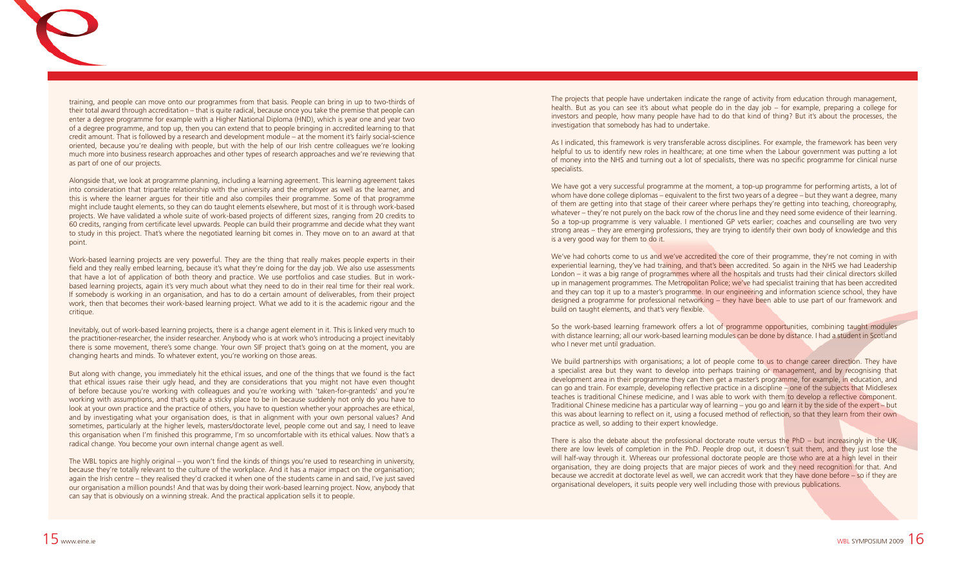The projects that people have undertaken indicate the range of activity from education through management, health. But as you can see it's about what people do in the day job – for example, preparing a college for investors and people, how many people have had to do that kind of thing? But it's about the processes, the investigation that somebody has had to undertake.

As I indicated, this framework is very transferable across disciplines. For example, the framework has been very helpful to us to identify new roles in healthcare; at one time when the Labour government was putting a lot of money into the NHS and turning out a lot of specialists, there was no specific programme for clinical nurse specialists.

We have got a very successful programme at the moment, a top-up programme for performing artists, a lot of whom have done college diplomas – equivalent to the first two years of a degree – but they want a degree, many of them are getting into that stage of their career where perhaps they're getting into teaching, choreography, whatever – they're not purely on the back row of the chorus line and they need some evidence of their learning. So a top-up programme is very valuable. I mentioned GP vets earlier; coaches and counselling are two very strong areas – they are emerging professions, they are trying to identify their own body of knowledge and this is a very good way for them to do it.

We've had cohorts come to us and we've accredited the core of their programme, they're not coming in with experiential learning, they've had training, and that's been accredited. So again in the NHS we had Leadership London – it was a big range of programmes where all the hospitals and trusts had their clinical directors skilled up in management programmes. The Metropolitan Police; we've had specialist training that has been accredited and they can top it up to a master's programme. In our engineering and information science school, they have designed a programme for professional networking – they have been able to use part of our framework and build on taught elements, and that's very flexible.

We build partnerships with organisations; a lot of people come to us to change career direction. They have a specialist area but they want to develop into perhaps training or management, and by recognising that development area in their programme they can then get a master's programme, for example, in education, and can go and train. For example, developing reflective practice in a discipline – one of the subjects that Middlesex teaches is traditional Chinese medicine, and I was able to work with them to develop a reflective component. Traditional Chinese medicine has a particular way of learning – you go and learn it by the side of the expert – but this was about learning to reflect on it, using a focused method of reflection, so that they learn from their own practice as well, so adding to their expert knowledge.

So the work-based learning framework offers a lot of programme opportunities, combining taught modules with distance learning; all our work-based learning modules can be done by distance. I had a student in Scotland who I never met until graduation.

There is also the debate about the professional doctorate route versus the PhD – but increasingly in the UK there are low levels of completion in the PhD. People drop out, it doesn't suit them, and they just lose the will half-way through it. Whereas our professional doctorate people are those who are at a high level in their organisation, they are doing projects that are major pieces of work and they need recognition for that. And because we accredit at doctorate level as well, we can accredit work that they have done before – so if they are organisational developers, it suits people very well including those with previous publications.

training, and people can move onto our programmes from that basis. People can bring in up to two-thirds of their total award through accreditation – that is quite radical, because once you take the premise that people can enter a degree programme for example with a Higher National Diploma (HND), which is year one and year two of a degree programme, and top up, then you can extend that to people bringing in accredited learning to that credit amount. That is followed by a research and development module – at the moment it's fairly social-science oriented, because you're dealing with people, but with the help of our Irish centre colleagues we're looking much more into business research approaches and other types of research approaches and we're reviewing that as part of one of our projects.

Alongside that, we look at programme planning, including a learning agreement. This learning agreement takes into consideration that tripartite relationship with the university and the employer as well as the learner, and this is where the learner argues for their title and also compiles their programme. Some of that programme might include taught elements, so they can do taught elements elsewhere, but most of it is through work-based projects. We have validated a whole suite of work-based projects of different sizes, ranging from 20 credits to 60 credits, ranging from certificate level upwards. People can build their programme and decide what they want to study in this project. That's where the negotiated learning bit comes in. They move on to an award at that point.

Work-based learning projects are very powerful. They are the thing that really makes people experts in their field and they really embed learning, because it's what they're doing for the day job. We also use assessments that have a lot of application of both theory and practice. We use portfolios and case studies. But in workbased learning projects, again it's very much about what they need to do in their real time for their real work. If somebody is working in an organisation, and has to do a certain amount of deliverables, from their project work, then that becomes their work-based learning project. What we add to it is the academic rigour and the critique.

Inevitably, out of work-based learning projects, there is a change agent element in it. This is linked very much to the practitioner-researcher, the insider researcher. Anybody who is at work who's introducing a project inevitably there is some movement, there's some change. Your own SIF project that's going on at the moment, you are changing hearts and minds. To whatever extent, you're working on those areas.

But along with change, you immediately hit the ethical issues, and one of the things that we found is the fact that ethical issues raise their ugly head, and they are considerations that you might not have even thought of before because you're working with colleagues and you're working with 'taken-for-granteds' and you're working with assumptions, and that's quite a sticky place to be in because suddenly not only do you have to look at your own practice and the practice of others, you have to question whether your approaches are ethical, and by investigating what your organisation does, is that in alignment with your own personal values? And sometimes, particularly at the higher levels, masters/doctorate level, people come out and say, I need to leave this organisation when I'm finished this programme, I'm so uncomfortable with its ethical values. Now that's a radical change. You become your own internal change agent as well.

The WBL topics are highly original – you won't find the kinds of things you're used to researching in university, because they're totally relevant to the culture of the workplace. And it has a major impact on the organisation; again the Irish centre – they realised they'd cracked it when one of the students came in and said, I've just saved our organisation a million pounds! And that was by doing their work-based learning project. Now, anybody that can say that is obviously on a winning streak. And the practical application sells it to people.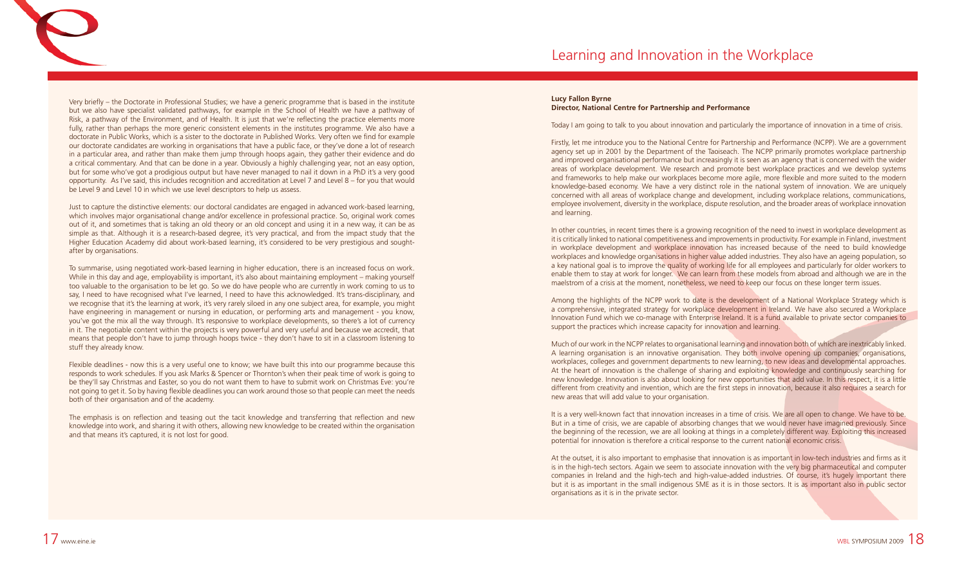## **Lucy Fallon Byrne Director, National Centre for Partnership and Performance**

Today I am going to talk to you about innovation and particularly the importance of innovation in a time of crisis.

Firstly, let me introduce you to the National Centre for Partnership and Performance (NCPP). We are a government agency set up in 2001 by the Department of the Taoiseach. The NCPP primarily promotes workplace partnership and improved organisational performance but increasingly it is seen as an agency that is concerned with the wider areas of workplace development. We research and promote best workplace practices and we develop systems and frameworks to help make our workplaces become more agile, more flexible and more suited to the modern knowledge-based economy. We have a very distinct role in the national system of innovation. We are uniquely concerned with all areas of workplace change and development, including workplace relations, communications, employee involvement, diversity in the workplace, dispute resolution, and the broader areas of workplace innovation and learning.

In other countries, in recent times there is a growing recognition of the need to invest in workplace development as it is critically linked to national competitiveness and improvements in productivity. For example in Finland, investment in workplace development and workplace innovation has increased because of the need to build knowledge workplaces and knowledge organisations in higher value added industries. They also have an ageing population, so a key national goal is to improve the quality of working life for all employees and particularly for older workers to enable them to stay at work for longer. We can learn from these models from abroad and although we are in the maelstrom of a crisis at the moment, nonetheless, we need to keep our focus on these longer term issues.

Among the highlights of the NCPP work to date is the development of a National Workplace Strategy which is a comprehensive, integrated strategy for workplace development in Ireland. We have also secured a Workplace Innovation Fund which we co-manage with Enterprise Ireland. It is a fund available to private sector companies to support the practices which increase capacity for innovation and learning.

Much of our work in the NCPP relates to organisational learning and innovation both of which are inextricably linked. A learning organisation is an innovative organisation. They both involve opening up companies, organisations, workplaces, colleges and government departments to new learning, to new ideas and developmental approaches. At the heart of innovation is the challenge of sharing and exploiting knowledge and continuously searching for new knowledge. Innovation is also about looking for new opportunities that add value. In this respect, it is a little different from creativity and invention, which are the first steps in innovation, because it also requires a search for new areas that will add value to your organisation.

It is a very well-known fact that innovation increases in a time of crisis. We are all open to change. We have to be. But in a time of crisis, we are capable of absorbing changes that we would never have imagined previously. Since the beginning of the recession, we are all looking at things in a completely different way. Exploiting this increased potential for innovation is therefore a critical response to the current national economic crisis.

At the outset, it is also important to emphasise that innovation is as important in low-tech industries and firms as it is in the high-tech sectors. Again we seem to associate innovation with the very big pharmaceutical and computer companies in Ireland and the high-tech and high-value-added industries. Of course, it's hugely important there but it is as important in the small indigenous SME as it is in those sectors. It is as important also in public sector organisations as it is in the private sector.

Very briefly – the Doctorate in Professional Studies; we have a generic programme that is based in the institute but we also have specialist validated pathways, for example in the School of Health we have a pathway of Risk, a pathway of the Environment, and of Health. It is just that we're reflecting the practice elements more fully, rather than perhaps the more generic consistent elements in the institutes programme. We also have a doctorate in Public Works, which is a sister to the doctorate in Published Works. Very often we find for example our doctorate candidates are working in organisations that have a public face, or they've done a lot of research in a particular area, and rather than make them jump through hoops again, they gather their evidence and do a critical commentary. And that can be done in a year. Obviously a highly challenging year, not an easy option, but for some who've got a prodigious output but have never managed to nail it down in a PhD it's a very good opportunity. As I've said, this includes recognition and accreditation at Level 7 and Level 8 – for you that would be Level 9 and Level 10 in which we use level descriptors to help us assess.

Just to capture the distinctive elements: our doctoral candidates are engaged in advanced work-based learning, which involves major organisational change and/or excellence in professional practice. So, original work comes out of it, and sometimes that is taking an old theory or an old concept and using it in a new way, it can be as simple as that. Although it is a research-based degree, it's very practical, and from the impact study that the Higher Education Academy did about work-based learning, it's considered to be very prestigious and soughtafter by organisations.

To summarise, using negotiated work-based learning in higher education, there is an increased focus on work. While in this day and age, employability is important, it's also about maintaining employment – making yourself too valuable to the organisation to be let go. So we do have people who are currently in work coming to us to say, I need to have recognised what I've learned, I need to have this acknowledged. It's trans-disciplinary, and we recognise that it's the learning at work, it's very rarely siloed in any one subject area, for example, you might have engineering in management or nursing in education, or performing arts and management - you know, you've got the mix all the way through. It's responsive to workplace developments, so there's a lot of currency in it. The negotiable content within the projects is very powerful and very useful and because we accredit, that means that people don't have to jump through hoops twice - they don't have to sit in a classroom listening to stuff they already know.

Flexible deadlines - now this is a very useful one to know; we have built this into our programme because this responds to work schedules. If you ask Marks & Spencer or Thornton's when their peak time of work is going to be they'll say Christmas and Easter, so you do not want them to have to submit work on Christmas Eve: you're not going to get it. So by having flexible deadlines you can work around those so that people can meet the needs both of their organisation and of the academy.

The emphasis is on reflection and teasing out the tacit knowledge and transferring that reflection and new knowledge into work, and sharing it with others, allowing new knowledge to be created within the organisation and that means it's captured, it is not lost for good.

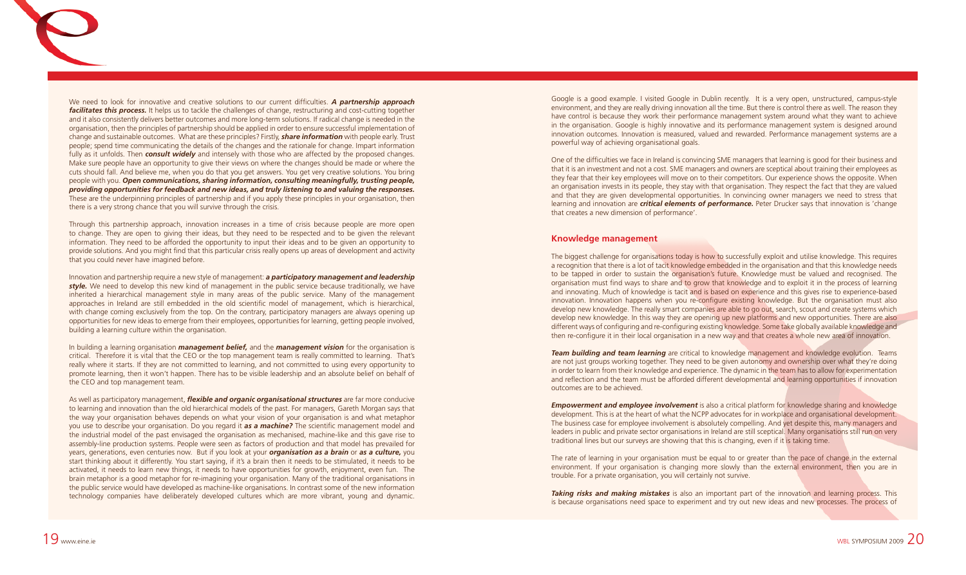Google is a good example. I visited Google in Dublin recently. It is a very open, unstructured, campus-style environment, and they are really driving innovation all the time. But there is control there as well. The reason they have control is because they work their performance management system around what they want to achieve in the organisation. Google is highly innovative and its performance management system is designed around innovation outcomes. Innovation is measured, valued and rewarded. Performance management systems are a powerful way of achieving organisational goals.

One of the difficulties we face in Ireland is convincing SME managers that learning is good for their business and that it is an investment and not a cost. SME managers and owners are sceptical about training their employees as they fear that their key employees will move on to their competitors. Our experience shows the opposite. When an organisation invests in its people, they stay with that organisation. They respect the fact that they are valued and that they are given developmental opportunities. In convincing owner managers we need to stress that learning and innovation are *critical elements of performance.* Peter Drucker says that innovation is 'change that creates a new dimension of performance'.

## **Knowledge management**

**Team building and team learning** are critical to knowledge management and knowledge evolution. Teams are not just groups working together. They need to be given autonomy and ownership over what they're doing in order to learn from their knowledge and experience. The dynamic in the team has to allow for experimentation and reflection and the team must be afforded different developmental and learning opportunities if innovation outcomes are to be achieved.

**Empowerment and employee involvement** is also a critical platform for knowledge sharing and knowledge development. This is at the heart of what the NCPP advocates for in workplace and organisational development. The business case for employee involvement is absolutely compelling. And yet despite this, many managers and leaders in public and private sector organisations in Ireland are still sceptical. Many organisations still run on very traditional lines but our surveys are showing that this is changing, even if it is taking time.

The biggest challenge for organisations today is how to successfully exploit and utilise knowledge. This requires a recognition that there is a lot of tacit knowledge embedded in the organisation and that this knowledge needs to be tapped in order to sustain the organisation's future. Knowledge must be valued and recognised. The organisation must find ways to share and to grow that knowledge and to exploit it in the process of learning and innovating. Much of knowledge is tacit and is based on experience and this gives rise to experience-based innovation. Innovation happens when you re-configure existing knowledge. But the organisation must also develop new knowledge. The really smart companies are able to go out, search, scout and create systems which develop new knowledge. In this way they are opening up new platforms and new opportunities. There are also different ways of configuring and re-configuring existing knowledge. Some take globally available knowledge and then re-configure it in their local organisation in a new way and that creates a whole new area of innovation.

The rate of learning in your organisation must be equal to or greater than the pace of change in the external environment. If your organisation is changing more slowly than the external environment, then you are in trouble. For a private organisation, you will certainly not survive.

*Taking risks and making mistakes* is also an important part of the innovation and learning process. This is because organisations need space to experiment and try out new ideas and new processes. The process of

We need to look for innovative and creative solutions to our current difficulties. *A partnership approach facilitates this process.* It helps us to tackle the challenges of change, restructuring and cost-cutting together and it also consistently delivers better outcomes and more long-term solutions. If radical change is needed in the organisation, then the principles of partnership should be applied in order to ensure successful implementation of change and sustainable outcomes. What are these principles? Firstly, *share information* with people early. Trust people; spend time communicating the details of the changes and the rationale for change. Impart information fully as it unfolds. Then **consult widely** and intensely with those who are affected by the proposed changes. Make sure people have an opportunity to give their views on where the changes should be made or where the cuts should fall. And believe me, when you do that you get answers. You get very creative solutions. You bring people with you. *Open communications, sharing information, consulting meaningfully, trusting people, providing opportunities for feedback and new ideas, and truly listening to and valuing the responses.*  These are the underpinning principles of partnership and if you apply these principles in your organisation, then there is a very strong chance that you will survive through the crisis.

Through this partnership approach, innovation increases in a time of crisis because people are more open to change. They are open to giving their ideas, but they need to be respected and to be given the relevant information. They need to be afforded the opportunity to input their ideas and to be given an opportunity to provide solutions. And you might find that this particular crisis really opens up areas of development and activity that you could never have imagined before.

Innovation and partnership require a new style of management: *a participatory management and leadership*  **style.** We need to develop this new kind of management in the public service because traditionally, we have inherited a hierarchical management style in many areas of the public service. Many of the management approaches in Ireland are still embedded in the old scientific model of management, which is hierarchical, with change coming exclusively from the top. On the contrary, participatory managers are always opening up opportunities for new ideas to emerge from their employees, opportunities for learning, getting people involved, building a learning culture within the organisation.

In building a learning organisation *management belief,* and the *management vision* for the organisation is critical. Therefore it is vital that the CEO or the top management team is really committed to learning. That's really where it starts. If they are not committed to learning, and not committed to using every opportunity to promote learning, then it won't happen. There has to be visible leadership and an absolute belief on behalf of the CEO and top management team.

As well as participatory management, *flexible and organic organisational structures* are far more conducive to learning and innovation than the old hierarchical models of the past. For managers, Gareth Morgan says that the way your organisation behaves depends on what your vision of your organisation is and what metaphor you use to describe your organisation. Do you regard it *as a machine?* The scientific management model and the industrial model of the past envisaged the organisation as mechanised, machine-like and this gave rise to assembly-line production systems. People were seen as factors of production and that model has prevailed for years, generations, even centuries now. But if you look at your *organisation as a brain* or *as a culture,* you start thinking about it differently. You start saying, if it's a brain then it needs to be stimulated, it needs to be activated, it needs to learn new things, it needs to have opportunities for growth, enjoyment, even fun. The brain metaphor is a good metaphor for re-imagining your organisation. Many of the traditional organisations in the public service would have developed as machine-like organisations. In contrast some of the new information technology companies have deliberately developed cultures which are more vibrant, young and dynamic.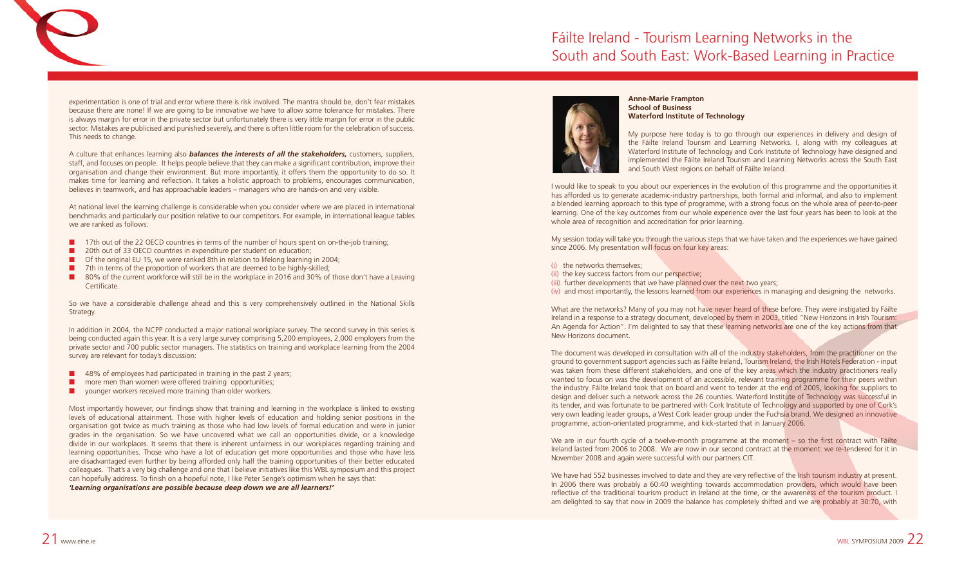**Anne-Marie Frampton School of Business Waterford Institute of Technology**

My purpose here today is to go through our experiences in delivery and design of the Fáilte Ireland Tourism and Learning Networks. I, along with my colleagues at Waterford Institute of Technology and Cork Institute of Technology have designed and implemented the Fáilte Ireland Tourism and Learning Networks across the South East and South West regions on behalf of Fáilte Ireland.

I would like to speak to you about our experiences in the evolution of this programme and the opportunities it has afforded us to generate academic-industry partnerships, both formal and informal, and also to implement a blended learning approach to this type of programme, with a strong focus on the whole area of peer-to-peer learning. One of the key outcomes from our whole experience over the last four years has been to look at the whole area of recognition and accreditation for prior learning.

What are the networks? Many of you may not have never heard of these before. They were instigated by Fáilte Ireland in a response to a strategy document, developed by them in 2003, titled "New Horizons in Irish Tourism: An Agenda for Action". I'm delighted to say that these learning networks are one of the key actions from that New Horizons document.

My session today will take you through the various steps that we have taken and the experiences we have gained since 2006. My presentation will focus on four key areas:

- (i) the networks themselves;
- (ii) the key success factors from our perspective:
- (iii) further developments that we have planned over the next two years;
- (iv) and most importantly, the lessons learned from our experiences in managing and designing the networks.

We are in our fourth cycle of a twelve-month programme at the moment – so the first contract with Fáilte Ireland lasted from 2006 to 2008. We are now in our second contract at the moment: we re-tendered for it in November 2008 and again were successful with our partners CIT.

We have had 552 businesses involved to date and they are very reflective of the Irish tourism industry at present. In 2006 there was probably a 60:40 weighting towards accommodation providers, which would have been reflective of the traditional tourism product in Ireland at the time, or the awareness of the tourism product. I am delighted to say that now in 2009 the balance has completely shifted and we are probably at 30:70, with

The document was developed in consultation with all of the industry stakeholders, from the practitioner on the ground to government support agencies such as Fáilte Ireland, Tourism Ireland, the Irish Hotels Federation - input was taken from these different stakeholders, and one of the key areas which the industry practitioners really wanted to focus on was the development of an accessible, relevant training programme for their peers within the industry. Fáilte Ireland took that on board and went to tender at the end of 2005, looking for suppliers to design and deliver such a network across the 26 counties. Waterford Institute of Technology was successful in its tender, and was fortunate to be partnered with Cork Institute of Technology and supported by one of Cork's very own leading leader groups, a West Cork leader group under the Fuchsia brand. We designed an innovative programme, action-orientated programme, and kick-started that in January 2006.

- $\Box$  17th out of the 22 OECD countries in terms of the number of hours spent on on-the-job training;
- 20th out of 33 OECD countries in expenditure per student on education;
- $\Box$  Of the original EU 15, we were ranked 8th in relation to lifelong learning in 2004;
- 7th in terms of the proportion of workers that are deemed to be highly-skilled;
- 80% of the current workforce will still be in the workplace in 2016 and 30% of those don't have a Leaving Certificate.

experimentation is one of trial and error where there is risk involved. The mantra should be, don't fear mistakes because there are none! If we are going to be innovative we have to allow some tolerance for mistakes. There is always margin for error in the private sector but unfortunately there is very little margin for error in the public sector. Mistakes are publicised and punished severely, and there is often little room for the celebration of success. This needs to change.

A culture that enhances learning also *balances the interests of all the stakeholders,* customers, suppliers, staff, and focuses on people. It helps people believe that they can make a significant contribution, improve their organisation and change their environment. But more importantly, it offers them the opportunity to do so. It makes time for learning and reflection. It takes a holistic approach to problems, encourages communication, believes in teamwork, and has approachable leaders – managers who are hands-on and very visible.

At national level the learning challenge is considerable when you consider where we are placed in international benchmarks and particularly our position relative to our competitors. For example, in international league tables we are ranked as follows:

So we have a considerable challenge ahead and this is very comprehensively outlined in the National Skills Strategy.

In addition in 2004, the NCPP conducted a major national workplace survey. The second survey in this series is being conducted again this year. It is a very large survey comprising 5,200 employees, 2,000 employers from the private sector and 700 public sector managers. The statistics on training and workplace learning from the 2004 survey are relevant for today's discussion:

- $\blacksquare$  48% of employees had participated in training in the past 2 years;
- $\blacksquare$  more men than women were offered training opportunities;
- younger workers received more training than older workers.

Most importantly however, our findings show that training and learning in the workplace is linked to existing levels of educational attainment. Those with higher levels of education and holding senior positions in the organisation got twice as much training as those who had low levels of formal education and were in junior grades in the organisation. So we have uncovered what we call an opportunities divide, or a knowledge divide in our workplaces. It seems that there is inherent unfairness in our workplaces regarding training and learning opportunities. Those who have a lot of education get more opportunities and those who have less are disadvantaged even further by being afforded only half the training opportunities of their better educated colleagues. That's a very big challenge and one that I believe initiatives like this WBL symposium and this project can hopefully address. To finish on a hopeful note, I like Peter Senge's optimism when he says that: *'Learning organisations are possible because deep down we are all learners!'* 



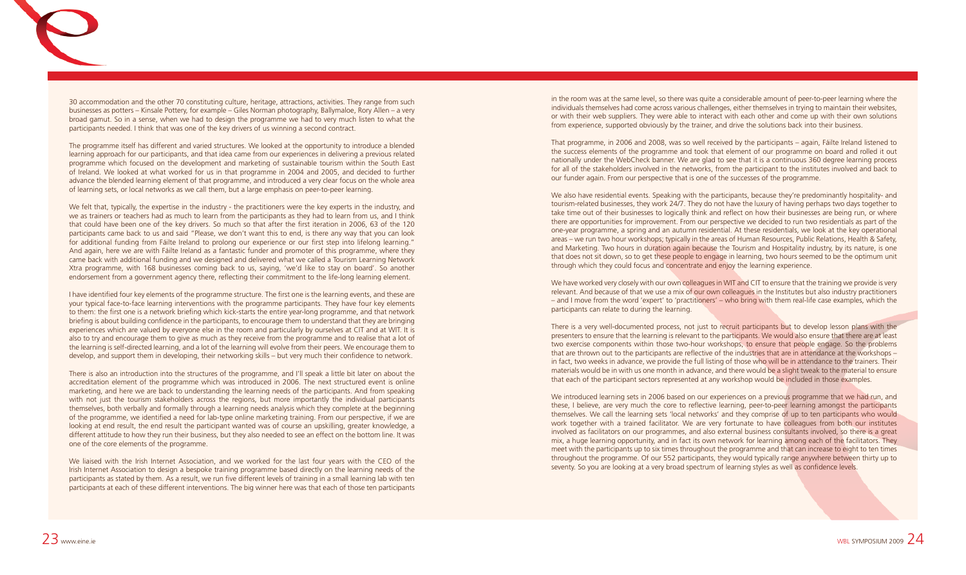in the room was at the same level, so there was quite a considerable amount of peer-to-peer learning where the individuals themselves had come across various challenges, either themselves in trying to maintain their websites, or with their web suppliers. They were able to interact with each other and come up with their own solutions from experience, supported obviously by the trainer, and drive the solutions back into their business.

That programme, in 2006 and 2008, was so well received by the participants – again, Fáilte Ireland listened to the success elements of the programme and took that element of our programme on board and rolled it out nationally under the WebCheck banner. We are glad to see that it is a continuous 360 degree learning process for all of the stakeholders involved in the networks, from the participant to the institutes involved and back to our funder again. From our perspective that is one of the successes of the programme.

We have worked very closely with our own colleagues in WIT and CIT to ensure that the training we provide is very relevant. And because of that we use a mix of our own colleagues in the Institutes but also industry practitioners – and I move from the word 'expert' to 'practitioners' – who bring with them real-life case examples, which the participants can relate to during the learning.

We also have residential events. Speaking with the participants, because they're predominantly hospitality- and tourism-related businesses, they work 24/7. They do not have the luxury of having perhaps two days together to take time out of their businesses to logically think and reflect on how their businesses are being run, or where there are opportunities for improvement. From our perspective we decided to run two residentials as part of the one-year programme, a spring and an autumn residential. At these residentials, we look at the key operational areas – we run two hour workshops; typically in the areas of Human Resources, Public Relations, Health & Safety, and Marketing. Two hours in duration again because the Tourism and Hospitality industry, by its nature, is one that does not sit down, so to get these people to engage in learning, two hours seemed to be the optimum unit through which they could focus and concentrate and enjoy the learning experience.

We introduced learning sets in 2006 based on our experiences on a previous programme that we had run, and these, I believe, are very much the core to reflective learning, peer-to-peer learning amongst the participants themselves. We call the learning sets 'local networks' and they comprise of up to ten participants who would work together with a trained facilitator. We are very fortunate to have colleagues from both our institutes involved as facilitators on our programmes, and also external business consultants involved, so there is a great mix, a huge learning opportunity, and in fact its own network for learning among each of the facilitators. They meet with the participants up to six times throughout the programme and that can increase to eight to ten times throughout the programme. Of our 552 participants, they would typically range anywhere between thirty up to seventy. So you are looking at a very broad spectrum of learning styles as well as confidence levels.

There is a very well-documented process, not just to recruit participants but to develop lesson plans with the presenters to ensure that the learning is relevant to the participants. We would also ensure that there are at least two exercise components within those two-hour workshops, to ensure that people engage. So the problems that are thrown out to the participants are reflective of the industries that are in attendance at the workshops – in fact, two weeks in advance, we provide the full listing of those who will be in attendance to the trainers. Their materials would be in with us one month in advance, and there would be a slight tweak to the material to ensure that each of the participant sectors represented at any workshop would be included in those examples.



The programme itself has different and varied structures. We looked at the opportunity to introduce a blended learning approach for our participants, and that idea came from our experiences in delivering a previous related programme which focused on the development and marketing of sustainable tourism within the South East of Ireland. We looked at what worked for us in that programme in 2004 and 2005, and decided to further advance the blended learning element of that programme, and introduced a very clear focus on the whole area of learning sets, or local networks as we call them, but a large emphasis on peer-to-peer learning.

We felt that, typically, the expertise in the industry - the practitioners were the key experts in the industry, and we as trainers or teachers had as much to learn from the participants as they had to learn from us, and I think that could have been one of the key drivers. So much so that after the first iteration in 2006, 63 of the 120 participants came back to us and said "Please, we don't want this to end, is there any way that you can look for additional funding from Fáilte Ireland to prolong our experience or our first step into lifelong learning." And again, here we are with Fáilte Ireland as a fantastic funder and promoter of this programme, where they came back with additional funding and we designed and delivered what we called a Tourism Learning Network Xtra programme, with 168 businesses coming back to us, saying, 'we'd like to stay on board'. So another endorsement from a government agency there, reflecting their commitment to the life-long learning element.

I have identified four key elements of the programme structure. The first one is the learning events, and these are your typical face-to-face learning interventions with the programme participants. They have four key elements to them: the first one is a network briefing which kick-starts the entire year-long programme, and that network briefing is about building confidence in the participants, to encourage them to understand that they are bringing experiences which are valued by everyone else in the room and particularly by ourselves at CIT and at WIT. It is also to try and encourage them to give as much as they receive from the programme and to realise that a lot of the learning is self-directed learning, and a lot of the learning will evolve from their peers. We encourage them to develop, and support them in developing, their networking skills – but very much their confidence to network.

There is also an introduction into the structures of the programme, and I'll speak a little bit later on about the accreditation element of the programme which was introduced in 2006. The next structured event is online marketing, and here we are back to understanding the learning needs of the participants. And from speaking with not just the tourism stakeholders across the regions, but more importantly the individual participants themselves, both verbally and formally through a learning needs analysis which they complete at the beginning of the programme, we identified a need for lab-type online marketing training. From our perspective, if we are looking at end result, the end result the participant wanted was of course an upskilling, greater knowledge, a different attitude to how they run their business, but they also needed to see an effect on the bottom line. It was one of the core elements of the programme.

We liaised with the Irish Internet Association, and we worked for the last four years with the CEO of the Irish Internet Association to design a bespoke training programme based directly on the learning needs of the participants as stated by them. As a result, we run five different levels of training in a small learning lab with ten participants at each of these different interventions. The big winner here was that each of those ten participants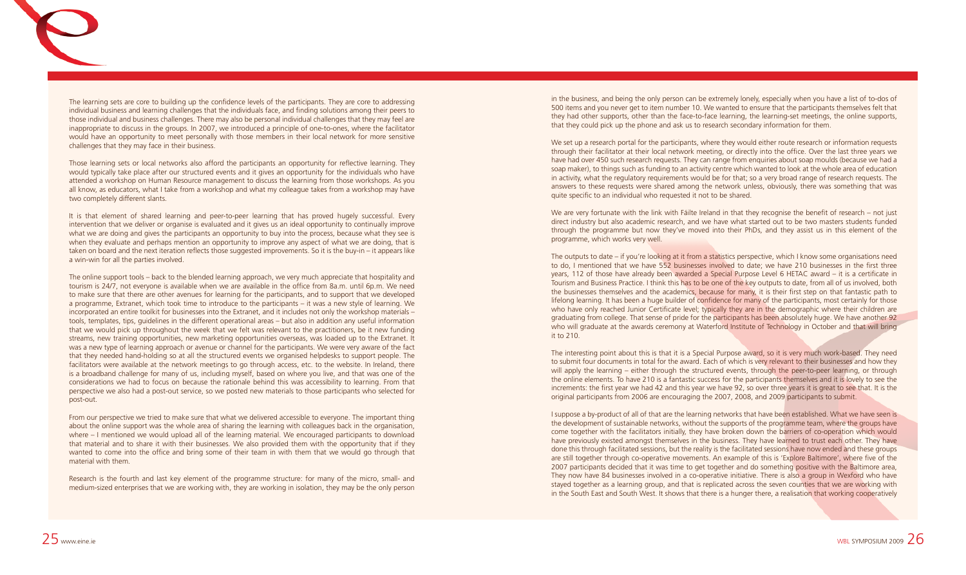in the business, and being the only person can be extremely lonely, especially when you have a list of to-dos of 500 items and you never get to item number 10. We wanted to ensure that the participants themselves felt that they had other supports, other than the face-to-face learning, the learning-set meetings, the online supports, that they could pick up the phone and ask us to research secondary information for them.

We set up a research portal for the participants, where they would either route research or information requests through their facilitator at their local network meeting, or directly into the office. Over the last three years we have had over 450 such research requests. They can range from enquiries about soap moulds (because we had a soap maker), to things such as funding to an activity centre which wanted to look at the whole area of education in activity, what the regulatory requirements would be for that; so a very broad range of research requests. The answers to these requests were shared among the network unless, obviously, there was something that was quite specific to an individual who requested it not to be shared.

We are very fortunate with the link with Fáilte Ireland in that they recognise the benefit of research – not just direct industry but also academic research, and we have what started out to be two masters students funded through the programme but now they've moved into their PhDs, and they assist us in this element of the programme, which works very well.

The outputs to date – if you're looking at it from a statistics perspective, which I know some organisations need to do, I mentioned that we have 552 businesses involved to date; we have 210 businesses in the first three years, 112 of those have already been awarded a Special Purpose Level 6 HETAC award – it is a certificate in Tourism and Business Practice. I think this has to be one of the key outputs to date, from all of us involved, both the businesses themselves and the academics, because for many, it is their first step on that fantastic path to lifelong learning. It has been a huge builder of confidence for many of the participants, most certainly for those who have only reached Junior Certificate level; typically they are in the demographic where their children are graduating from college. That sense of pride for the participants has been absolutely huge. We have another 92 who will graduate at the awards ceremony at Waterford Institute of Technology in October and that will bring it to 210.

The interesting point about this is that it is a Special Purpose award, so it is very much work-based. They need to submit four documents in total for the award. Each of which is very relevant to their businesses and how they will apply the learning – either through the structured events, through the peer-to-peer learning, or through the online elements. To have 210 is a fantastic success for the participants themselves and it is lovely to see the increments: the first year we had 42 and this year we have 92, so over three years it is great to see that. It is the original participants from 2006 are encouraging the 2007, 2008, and 2009 participants to submit.

I suppose a by-product of all of that are the learning networks that have been established. What we have seen is the development of sustainable networks, without the supports of the programme team, where the groups have come together with the facilitators initially, they have broken down the barriers of co-operation which would have previously existed amongst themselves in the business. They have learned to trust each other. They have done this through facilitated sessions, but the reality is the facilitated sessions have now ended and these groups are still together through co-operative movements. An example of this is 'Explore Baltimore', where five of the 2007 participants decided that it was time to get together and do something positive with the Baltimore area, They now have 84 businesses involved in a co-operative initiative. There is also a group in Wexford who have stayed together as a learning group, and that is replicated across the seven counties that we are working with in the South East and South West. It shows that there is a hunger there, a realisation that working cooperatively

The learning sets are core to building up the confidence levels of the participants. They are core to addressing individual business and learning challenges that the individuals face, and finding solutions among their peers to those individual and business challenges. There may also be personal individual challenges that they may feel are inappropriate to discuss in the groups. In 2007, we introduced a principle of one-to-ones, where the facilitator would have an opportunity to meet personally with those members in their local network for more sensitive challenges that they may face in their business.

Those learning sets or local networks also afford the participants an opportunity for reflective learning. They would typically take place after our structured events and it gives an opportunity for the individuals who have attended a workshop on Human Resource management to discuss the learning from those workshops. As you all know, as educators, what I take from a workshop and what my colleague takes from a workshop may have two completely different slants.

It is that element of shared learning and peer-to-peer learning that has proved hugely successful. Every intervention that we deliver or organise is evaluated and it gives us an ideal opportunity to continually improve what we are doing and gives the participants an opportunity to buy into the process, because what they see is when they evaluate and perhaps mention an opportunity to improve any aspect of what we are doing, that is taken on board and the next iteration reflects those suggested improvements. So it is the buy-in – it appears like a win-win for all the parties involved.

The online support tools – back to the blended learning approach, we very much appreciate that hospitality and tourism is 24/7, not everyone is available when we are available in the office from 8a.m. until 6p.m. We need to make sure that there are other avenues for learning for the participants, and to support that we developed a programme, Extranet, which took time to introduce to the participants – it was a new style of learning. We incorporated an entire toolkit for businesses into the Extranet, and it includes not only the workshop materials – tools, templates, tips, guidelines in the different operational areas – but also in addition any useful information that we would pick up throughout the week that we felt was relevant to the practitioners, be it new funding streams, new training opportunities, new marketing opportunities overseas, was loaded up to the Extranet. It was a new type of learning approach or avenue or channel for the participants. We were very aware of the fact that they needed hand-holding so at all the structured events we organised helpdesks to support people. The facilitators were available at the network meetings to go through access, etc. to the website. In Ireland, there is a broadband challenge for many of us, including myself, based on where you live, and that was one of the considerations we had to focus on because the rationale behind this was accessibility to learning. From that perspective we also had a post-out service, so we posted new materials to those participants who selected for post-out.

From our perspective we tried to make sure that what we delivered accessible to everyone. The important thing about the online support was the whole area of sharing the learning with colleagues back in the organisation, where – I mentioned we would upload all of the learning material. We encouraged participants to download that material and to share it with their businesses. We also provided them with the opportunity that if they wanted to come into the office and bring some of their team in with them that we would go through that material with them.

Research is the fourth and last key element of the programme structure: for many of the micro, small- and medium-sized enterprises that we are working with, they are working in isolation, they may be the only person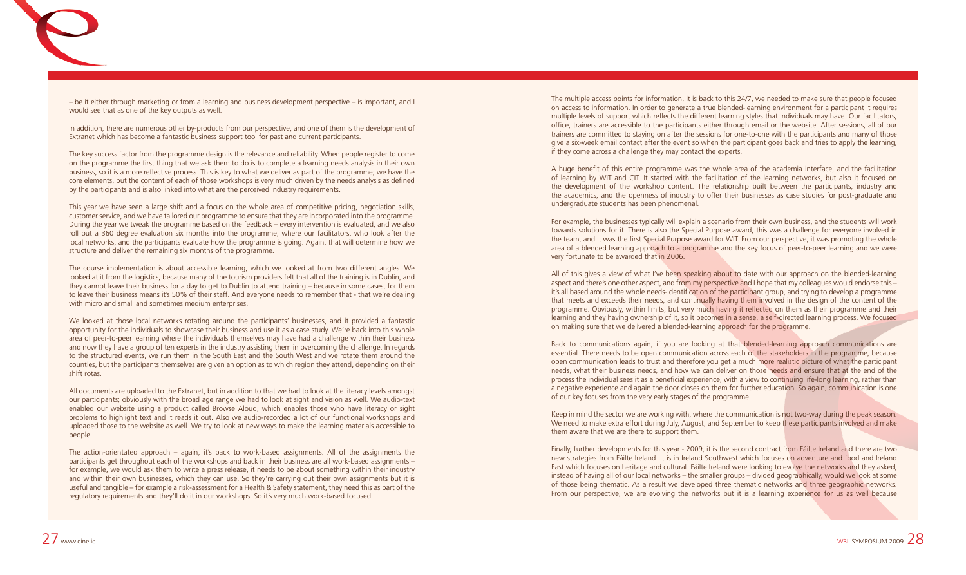The multiple access points for information, it is back to this 24/7, we needed to make sure that people focused on access to information. In order to generate a true blended-learning environment for a participant it requires multiple levels of support which reflects the different learning styles that individuals may have. Our facilitators, office, trainers are accessible to the participants either through email or the website. After sessions, all of our trainers are committed to staying on after the sessions for one-to-one with the participants and many of those give a six-week email contact after the event so when the participant goes back and tries to apply the learning, if they come across a challenge they may contact the experts.

A huge benefit of this entire programme was the whole area of the academia interface, and the facilitation of learning by WIT and CIT. It started with the facilitation of the learning networks, but also it focused on the development of the workshop content. The relationship built between the participants, industry and the academics, and the openness of industry to offer their businesses as case studies for post-graduate and undergraduate students has been phenomenal.

For example, the businesses typically will explain a scenario from their own business, and the students will work towards solutions for it. There is also the Special Purpose award, this was a challenge for everyone involved in the team, and it was the first Special Purpose award for WIT. From our perspective, it was promoting the whole area of a blended learning approach to a programme and the key focus of peer-to-peer learning and we were very fortunate to be awarded that in 2006.

Back to communications again, if you are looking at that blended-learning approach communications are essential. There needs to be open communication across each of the stakeholders in the programme, because open communication leads to trust and therefore you get a much more realistic picture of what the participant needs, what their business needs, and how we can deliver on those needs and ensure that at the end of the process the individual sees it as a beneficial experience, with a view to continuing life-long learning, rather than a negative experience and again the door closes on them for further education. So again, communication is one of our key focuses from the very early stages of the programme.

All of this gives a view of what I've been speaking about to date with our approach on the blended-learning aspect and there's one other aspect, and from my perspective and I hope that my colleagues would endorse this – it's all based around the whole needs-identification of the participant group, and trying to develop a programme that meets and exceeds their needs, and continually having them involved in the design of the content of the programme. Obviously, within limits, but very much having it reflected on them as their programme and their learning and they having ownership of it, so it becomes in a sense, a self-directed learning process. We focused on making sure that we delivered a blended-learning approach for the programme.

Keep in mind the sector we are working with, where the communication is not two-way during the peak season. We need to make extra effort during July, August, and September to keep these participants involved and make them aware that we are there to support them.

Finally, further developments for this year - 2009, it is the second contract from Fáilte Ireland and there are two new strategies from Fáilte Ireland. It is in Ireland Southwest which focuses on adventure and food and Ireland East which focuses on heritage and cultural. Fáilte Ireland were looking to evolve the networks and they asked, instead of having all of our local networks – the smaller groups – divided geographically, would we look at some of those being thematic. As a result we developed three thematic networks and three geographic networks. From our perspective, we are evolving the networks but it is a learning experience for us as well because

– be it either through marketing or from a learning and business development perspective – is important, and I would see that as one of the key outputs as well.

In addition, there are numerous other by-products from our perspective, and one of them is the development of Extranet which has become a fantastic business support tool for past and current participants.

The key success factor from the programme design is the relevance and reliability. When people register to come on the programme the first thing that we ask them to do is to complete a learning needs analysis in their own business, so it is a more reflective process. This is key to what we deliver as part of the programme; we have the core elements, but the content of each of those workshops is very much driven by the needs analysis as defined by the participants and is also linked into what are the perceived industry requirements.

This year we have seen a large shift and a focus on the whole area of competitive pricing, negotiation skills, customer service, and we have tailored our programme to ensure that they are incorporated into the programme. During the year we tweak the programme based on the feedback – every intervention is evaluated, and we also roll out a 360 degree evaluation six months into the programme, where our facilitators, who look after the local networks, and the participants evaluate how the programme is going. Again, that will determine how we structure and deliver the remaining six months of the programme.

The course implementation is about accessible learning, which we looked at from two different angles. We looked at it from the logistics, because many of the tourism providers felt that all of the training is in Dublin, and they cannot leave their business for a day to get to Dublin to attend training – because in some cases, for them to leave their business means it's 50% of their staff. And everyone needs to remember that - that we're dealing with micro and small and sometimes medium enterprises.

We looked at those local networks rotating around the participants' businesses, and it provided a fantastic opportunity for the individuals to showcase their business and use it as a case study. We're back into this whole area of peer-to-peer learning where the individuals themselves may have had a challenge within their business and now they have a group of ten experts in the industry assisting them in overcoming the challenge. In regards to the structured events, we run them in the South East and the South West and we rotate them around the counties, but the participants themselves are given an option as to which region they attend, depending on their shift rotas.

All documents are uploaded to the Extranet, but in addition to that we had to look at the literacy levels amongst our participants; obviously with the broad age range we had to look at sight and vision as well. We audio-text enabled our website using a product called Browse Aloud, which enables those who have literacy or sight problems to highlight text and it reads it out. Also we audio-recorded a lot of our functional workshops and uploaded those to the website as well. We try to look at new ways to make the learning materials accessible to people.

The action-orientated approach – again, it's back to work-based assignments. All of the assignments the participants get throughout each of the workshops and back in their business are all work-based assignments – for example, we would ask them to write a press release, it needs to be about something within their industry and within their own businesses, which they can use. So they're carrying out their own assignments but it is useful and tangible – for example a risk-assessment for a Health & Safety statement, they need this as part of the regulatory requirements and they'll do it in our workshops. So it's very much work-based focused.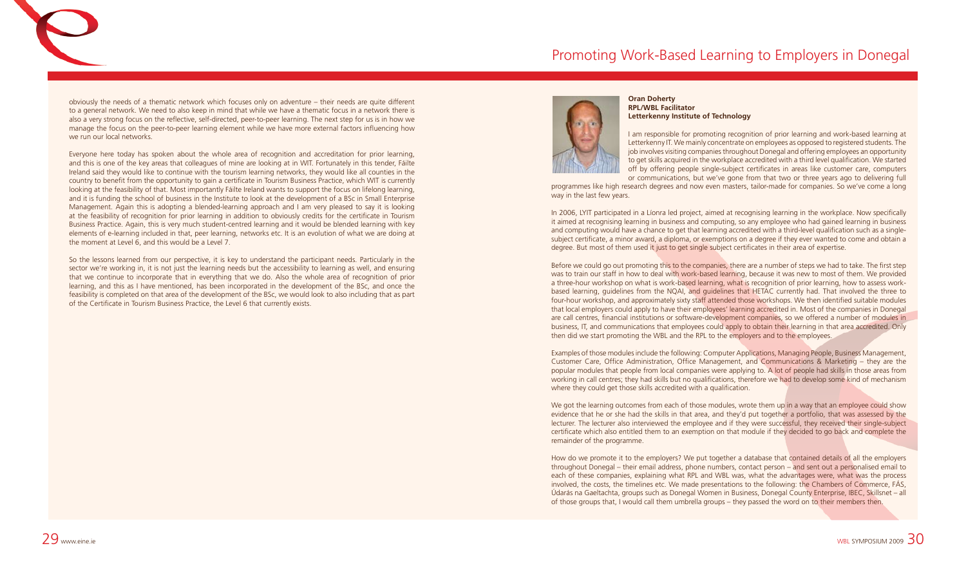

obviously the needs of a thematic network which focuses only on adventure – their needs are quite different to a general network. We need to also keep in mind that while we have a thematic focus in a network there is also a very strong focus on the reflective, self-directed, peer-to-peer learning. The next step for us is in how we manage the focus on the peer-to-peer learning element while we have more external factors influencing how we run our local networks.

Everyone here today has spoken about the whole area of recognition and accreditation for prior learning, and this is one of the key areas that colleagues of mine are looking at in WIT. Fortunately in this tender, Fáilte Ireland said they would like to continue with the tourism learning networks, they would like all counties in the country to benefit from the opportunity to gain a certificate in Tourism Business Practice, which WIT is currently looking at the feasibility of that. Most importantly Fáilte Ireland wants to support the focus on lifelong learning, and it is funding the school of business in the Institute to look at the development of a BSc in Small Enterprise Management. Again this is adopting a blended-learning approach and I am very pleased to say it is looking at the feasibility of recognition for prior learning in addition to obviously credits for the certificate in Tourism Business Practice. Again, this is very much student-centred learning and it would be blended learning with key elements of e-learning included in that, peer learning, networks etc. It is an evolution of what we are doing at the moment at Level 6, and this would be a Level 7.

So the lessons learned from our perspective, it is key to understand the participant needs. Particularly in the sector we're working in, it is not just the learning needs but the accessibility to learning as well, and ensuring that we continue to incorporate that in everything that we do. Also the whole area of recognition of prior learning, and this as I have mentioned, has been incorporated in the development of the BSc, and once the feasibility is completed on that area of the development of the BSc, we would look to also including that as part of the Certificate in Tourism Business Practice, the Level 6 that currently exists.



### **Oran Doherty RPL/WBL Facilitator Letterkenny Institute of Technology**

I am responsible for promoting recognition of prior learning and work-based learning at Letterkenny IT. We mainly concentrate on employees as opposed to registered students. The job involves visiting companies throughout Donegal and offering employees an opportunity to get skills acquired in the workplace accredited with a third level qualification. We started off by offering people single-subject certificates in areas like customer care, computers or communications, but we've gone from that two or three years ago to delivering full programmes like high research degrees and now even masters, tailor-made for companies. So we've come a long way in the last few years.

We got the learning outcomes from each of those modules, wrote them up in a way that an employee could show evidence that he or she had the skills in that area, and they'd put together a portfolio, that was assessed by the lecturer. The lecturer also interviewed the employee and if they were successful, they received their single-subject certificate which also entitled them to an exemption on that module if they decided to go back and complete the remainder of the programme.

In 2006, LYIT participated in a Líonra led project, aimed at recognising learning in the workplace. Now specifically it aimed at recognising learning in business and computing, so any employee who had gained learning in business and computing would have a chance to get that learning accredited with a third-level qualification such as a singlesubject certificate, a minor award, a diploma, or exemptions on a degree if they ever wanted to come and obtain a degree. But most of them used it just to get single subject certificates in their area of expertise.

Before we could go out promoting this to the companies, there are a number of steps we had to take. The first step was to train our staff in how to deal with work-based learning, because it was new to most of them. We provided a three-hour workshop on what is work-based learning, what is recognition of prior learning, how to assess workbased learning, guidelines from the NQAI, and guidelines that HETAC currently had. That involved the three to four-hour workshop, and approximately sixty staff attended those workshops. We then identified suitable modules that local employers could apply to have their employees' learning accredited in. Most of the companies in Donegal are call centres, financial institutions or software-development companies, so we offered a number of modules in business, IT, and communications that employees could apply to obtain their learning in that area accredited. Only then did we start promoting the WBL and the RPL to the employers and to the employees.

Examples of those modules include the following: Computer Applications, Managing People, Business Management, Customer Care, Office Administration, Office Management, and Communications & Marketing – they are the popular modules that people from local companies were applying to. A lot of people had skills in those areas from working in call centres; they had skills but no qualifications, therefore we had to develop some kind of mechanism where they could get those skills accredited with a qualification.

How do we promote it to the employers? We put together a database that contained details of all the employers throughout Donegal – their email address, phone numbers, contact person – and sent out a personalised email to each of these companies, explaining what RPL and WBL was, what the advantages were, what was the process involved, the costs, the timelines etc. We made presentations to the following: the Chambers of Commerce, FÁS, Údarás na Gaeltachta, groups such as Donegal Women in Business, Donegal County Enterprise, IBEC, Skillsnet – all of those groups that, I would call them umbrella groups – they passed the word on to their members then.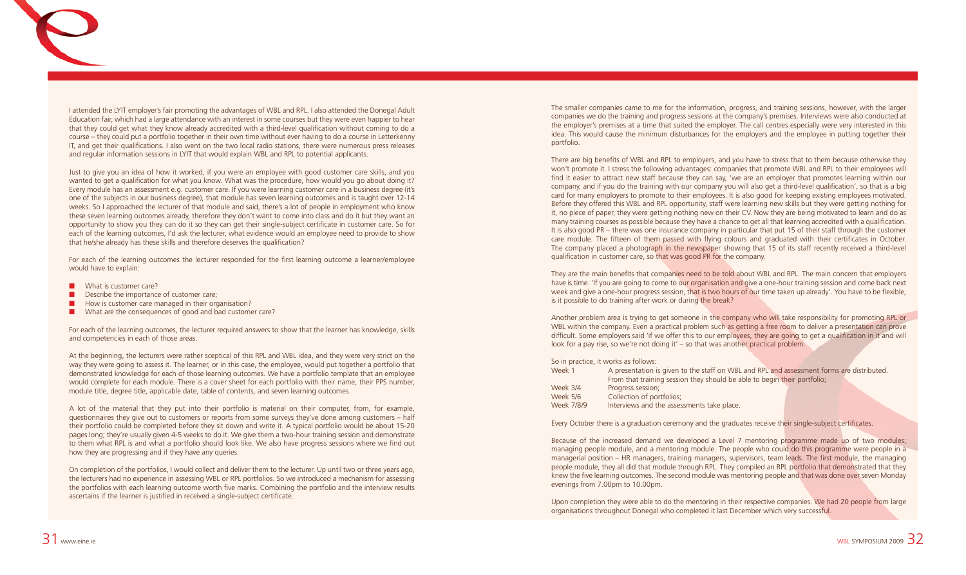I attended the LYIT employer's fair promoting the advantages of WBL and RPL. I also attended the Donegal Adult Education fair, which had a large attendance with an interest in some courses but they were even happier to hear that they could get what they know already accredited with a third-level qualification without coming to do a course – they could put a portfolio together in their own time without ever having to do a course in Letterkenny IT, and get their qualifications. I also went on the two local radio stations, there were numerous press releases and regular information sessions in LYIT that would explain WBL and RPL to potential applicants.

Just to give you an idea of how it worked, if you were an employee with good customer care skills, and you wanted to get a qualification for what you know. What was the procedure, how would you go about doing it? Every module has an assessment e.g. customer care. If you were learning customer care in a business degree (it's one of the subjects in our business degree), that module has seven learning outcomes and is taught over 12-14 weeks. So I approached the lecturer of that module and said, there's a lot of people in employment who know these seven learning outcomes already, therefore they don't want to come into class and do it but they want an opportunity to show you they can do it so they can get their single-subject certificate in customer care. So for each of the learning outcomes, I'd ask the lecturer, what evidence would an employee need to provide to show that he/she already has these skills and therefore deserves the qualification?

For each of the learning outcomes the lecturer responded for the first learning outcome a learner/employee would have to explain:

- $\blacksquare$  What is customer care?
- $\blacksquare$  Describe the importance of customer care;
- How is customer care managed in their organisation?
- $\blacksquare$  What are the consequences of good and bad customer care?

For each of the learning outcomes, the lecturer required answers to show that the learner has knowledge, skills and competencies in each of those areas.

At the beginning, the lecturers were rather sceptical of this RPL and WBL idea, and they were very strict on the way they were going to assess it. The learner, or in this case, the employee, would put together a portfolio that demonstrated knowledge for each of those learning outcomes. We have a portfolio template that an employee would complete for each module. There is a cover sheet for each portfolio with their name, their PPS number, module title, degree title, applicable date, table of contents, and seven learning outcomes.

A lot of the material that they put into their portfolio is material on their computer, from, for example, questionnaires they give out to customers or reports from some surveys they've done among customers – half their portfolio could be completed before they sit down and write it. A typical portfolio would be about 15-20 pages long; they're usually given 4-5 weeks to do it. We give them a two-hour training session and demonstrate to them what RPL is and what a portfolio should look like. We also have progress sessions where we find out how they are progressing and if they have any queries.

On completion of the portfolios, I would collect and deliver them to the lecturer. Up until two or three years ago, the lecturers had no experience in assessing WBL or RPL portfolios. So we introduced a mechanism for assessing the portfolios with each learning outcome worth five marks. Combining the portfolio and the interview results ascertains if the learner is justified in received a single-subject certificate.

The smaller companies came to me for the information, progress, and training sessions, however, with the larger companies we do the training and progress sessions at the company's premises. Interviews were also conducted at the employer's premises at a time that suited the employer. The call centres especially were very interested in this idea. This would cause the minimum disturbances for the employers and the employee in putting together their portfolio.

There are big benefits of WBL and RPL to employers, and you have to stress that to them because otherwise they won't promote it. I stress the following advantages: companies that promote WBL and RPL to their employees will find it easier to attract new staff because they can say, 'we are an employer that promotes learning within our company, and if you do the training with our company you will also get a third-level qualification', so that is a big card for many employers to promote to their employees. It is also good for keeping existing employees motivated. Before they offered this WBL and RPL opportunity, staff were learning new skills but they were getting nothing for it, no piece of paper, they were getting nothing new on their CV. Now they are being motivated to learn and do as many training courses as possible because they have a chance to get all that learning accredited with a qualification. It is also good PR – there was one insurance company in particular that put 15 of their staff through the customer care module. The fifteen of them passed with flying colours and graduated with their certificates in October. The company placed a photograph in the newspaper showing that 15 of its staff recently received a third-level qualification in customer care, so that was good PR for the company.

They are the main benefits that companies need to be told about WBL and RPL. The main concern that employers have is time. 'If you are going to come to our organisation and give a one-hour training session and come back next week and give a one-hour progress session, that is two hours of our time taken up already'. You have to be flexible, is it possible to do training after work or during the break?

Another problem area is trying to get someone in the company who will take responsibility for promoting RPL or WBL within the company. Even a practical problem such as getting a free room to deliver a presentation can prove difficult. Some employers said 'if we offer this to our employees, they are going to get a qualification in it and will look for a pay rise, so we're not doing it' – so that was another practical problem.

So in practice, it works as follows:

| A presentation is given to the staff on WBL |
|---------------------------------------------|
| From that training session they should be a |
| Progress session;                           |
| Collection of portfolios;                   |
| Interviews and the assessments take place.  |
|                                             |

Every October there is a graduation ceremony and the graduates receive their single-subject certificates.

Because of the increased demand we developed a Level 7 mentoring programme made up of two modules; managing people module, and a mentoring module. The people who could do this programme were people in a managerial position – HR managers, training managers, supervisors, team leads. The first module, the managing people module, they all did that module through RPL. They compiled an RPL portfolio that demonstrated that they knew the five learning outcomes. The second module was mentoring people and that was done over seven Monday evenings from 7.00pm to 10.00pm.

Upon completion they were able to do the mentoring in their respective companies. We had 20 people from large organisations throughout Donegal who completed it last December which very successful.

Week 1 A presentation is given to the staff on WBL and RPL and assessment forms are distributed. be able to begin their portfolio;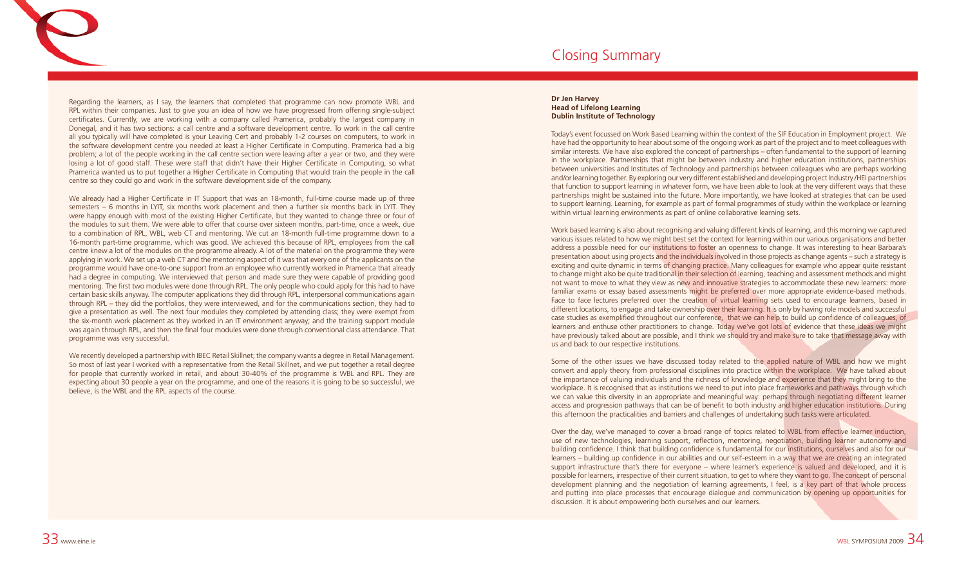Regarding the learners, as I say, the learners that completed that programme can now promote WBL and RPL within their companies. Just to give you an idea of how we have progressed from offering single-subject certificates. Currently, we are working with a company called Pramerica, probably the largest company in Donegal, and it has two sections: a call centre and a software development centre. To work in the call centre all you typically will have completed is your Leaving Cert and probably 1-2 courses on computers, to work in the software development centre you needed at least a Higher Certificate in Computing. Pramerica had a big problem; a lot of the people working in the call centre section were leaving after a year or two, and they were losing a lot of good staff. These were staff that didn't have their Higher Certificate in Computing, so what Pramerica wanted us to put together a Higher Certificate in Computing that would train the people in the call centre so they could go and work in the software development side of the company.

We already had a Higher Certificate in IT Support that was an 18-month, full-time course made up of three semesters – 6 months in LYIT, six months work placement and then a further six months back in LYIT. They were happy enough with most of the existing Higher Certificate, but they wanted to change three or four of the modules to suit them. We were able to offer that course over sixteen months, part-time, once a week, due to a combination of RPL, WBL, web CT and mentoring. We cut an 18-month full-time programme down to a 16-month part-time programme, which was good. We achieved this because of RPL, employees from the call centre knew a lot of the modules on the programme already. A lot of the material on the programme they were applying in work. We set up a web CT and the mentoring aspect of it was that every one of the applicants on the programme would have one-to-one support from an employee who currently worked in Pramerica that already had a degree in computing. We interviewed that person and made sure they were capable of providing good mentoring. The first two modules were done through RPL. The only people who could apply for this had to have certain basic skills anyway. The computer applications they did through RPL, interpersonal communications again through RPL – they did the portfolios, they were interviewed, and for the communications section, they had to give a presentation as well. The next four modules they completed by attending class; they were exempt from the six-month work placement as they worked in an IT environment anyway; and the training support module was again through RPL, and then the final four modules were done through conventional class attendance. That programme was very successful.

We recently developed a partnership with IBEC Retail Skillnet; the company wants a degree in Retail Management. So most of last year I worked with a representative from the Retail Skillnet, and we put together a retail degree for people that currently worked in retail, and about 30-40% of the programme is WBL and RPL. They are expecting about 30 people a year on the programme, and one of the reasons it is going to be so successful, we believe, is the WBL and the RPL aspects of the course.

## **Dr Jen Harvey Head of Lifelong Learning Dublin Institute of Technology**

Today's event focussed on Work Based Learning within the context of the SIF Education in Employment project. We have had the opportunity to hear about some of the ongoing work as part of the project and to meet colleagues with similar interests. We have also explored the concept of partnerships – often fundamental to the support of learning in the workplace. Partnerships that might be between industry and higher education institutions, partnerships between universities and Institutes of Technology and partnerships between colleagues who are perhaps working and/or learning together. By exploring our very different established and developing project Industry /HEI partnerships that function to support learning in whatever form, we have been able to look at the very different ways that these partnerships might be sustained into the future. More importantly, we have looked at strategies that can be used to support learning. Learning, for example as part of formal programmes of study within the workplace or learning within virtual learning environments as part of online collaborative learning sets.

Work based learning is also about recognising and valuing different kinds of learning, and this morning we captured various issues related to how we might best set the context for learning within our various organisations and better address a possible need for our institutions to foster an openness to change. It was interesting to hear Barbara's presentation about using projects and the individuals involved in those projects as change agents – such a strategy is exciting and quite dynamic in terms of changing practice. Many colleagues for example who appear quite resistant to change might also be quite traditional in their selection of learning, teaching and assessment methods and might not want to move to what they view as new and innovative strategies to accommodate these new learners: more familiar exams or essay based assessments might be preferred over more appropriate evidence-based methods. Face to face lectures preferred over the creation of virtual learning sets used to encourage learners, based in different locations, to engage and take ownership over their learning. It is only by having role models and successful case studies as exemplified throughout our conference, that we can help to build up confidence of colleagues, of learners and enthuse other practitioners to change. Today we've got lots of evidence that these ideas we might have previously talked about are possible, and I think we should try and make sure to take that message away with us and back to our respective institutions.

Some of the other issues we have discussed today related to the applied nature of WBL and how we might convert and apply theory from professional disciplines into practice within the workplace. We have talked about the importance of valuing individuals and the richness of knowledge and experience that they might bring to the workplace. It is recognised that as institutions we need to put into place frameworks and pathways through which we can value this diversity in an appropriate and meaningful way: perhaps through negotiating different learner access and progression pathways that can be of benefit to both industry and higher education institutions. During this afternoon the practicalities and barriers and challenges of undertaking such tasks were articulated.

Over the day, we've managed to cover a broad range of topics related to WBL from effective learner induction, use of new technologies, learning support, reflection, mentoring, negotiation, building learner autonomy and building confidence. I think that building confidence is fundamental for our institutions, ourselves and also for our learners – building up confidence in our abilities and our self-esteem in a way that we are creating an integrated support infrastructure that's there for everyone – where learner's experience is valued and developed, and it is possible for learners, irrespective of their current situation, to get to where they want to go. The concept of personal development planning and the negotiation of learning agreements, I feel, is a key part of that whole process and putting into place processes that encourage dialogue and communication by opening up opportunities for discussion. It is about empowering both ourselves and our learners.

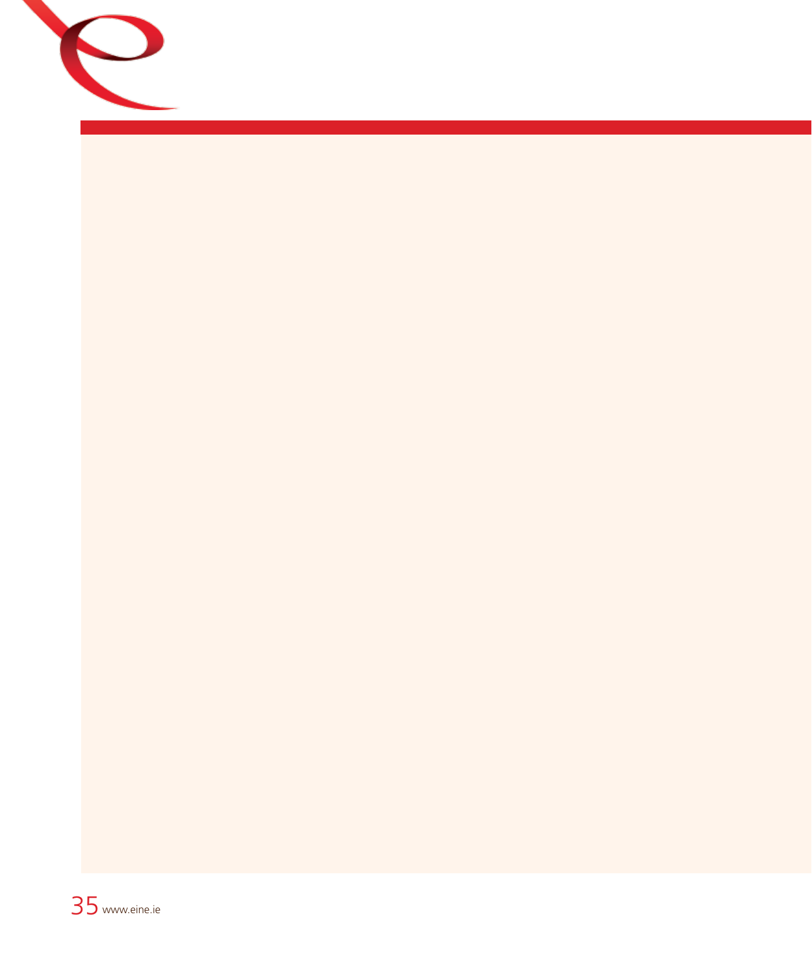